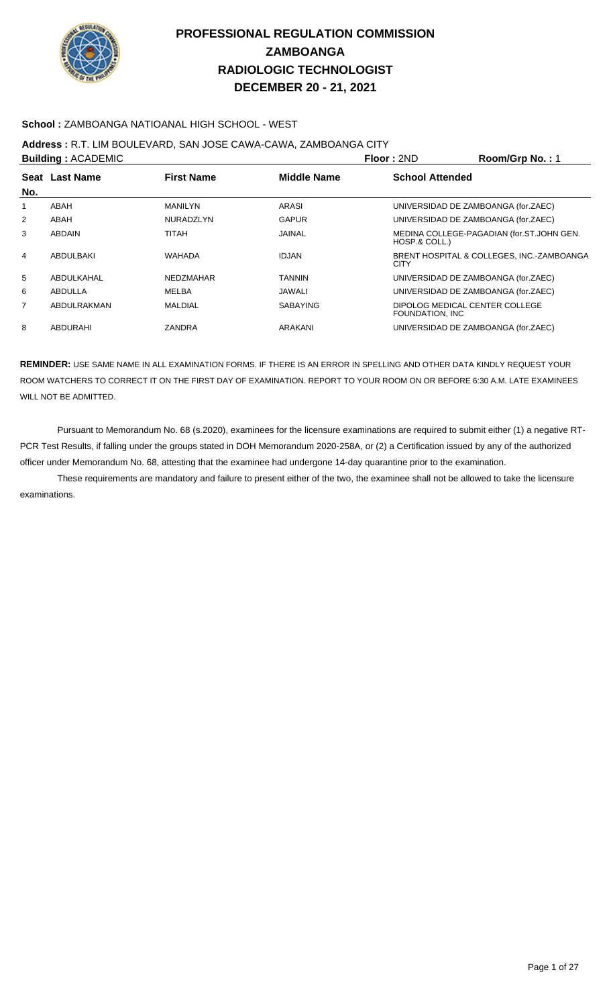

### **School :** ZAMBOANGA NATIOANAL HIGH SCHOOL - WEST

### **Address :** R.T. LIM BOULEVARD, SAN JOSE CAWA-CAWA, ZAMBOANGA CITY

|     | <b>Building: ACADEMIC</b> |                   |                    | Floor: 2ND                                         | Room/Grp No.: 1                           |
|-----|---------------------------|-------------------|--------------------|----------------------------------------------------|-------------------------------------------|
|     | Seat Last Name            | <b>First Name</b> | <b>Middle Name</b> | <b>School Attended</b>                             |                                           |
| No. |                           |                   |                    |                                                    |                                           |
| 1   | ABAH                      | <b>MANILYN</b>    | ARASI              | UNIVERSIDAD DE ZAMBOANGA (for.ZAEC)                |                                           |
| 2   | ABAH                      | <b>NURADZLYN</b>  | <b>GAPUR</b>       | UNIVERSIDAD DE ZAMBOANGA (for.ZAEC)                |                                           |
| 3   | <b>ABDAIN</b>             | TITAH             | <b>JAINAL</b>      | HOSP.& COLL.)                                      | MEDINA COLLEGE-PAGADIAN (for.ST.JOHN GEN. |
| 4   | ABDULBAKI                 | <b>WAHADA</b>     | <b>IDJAN</b>       | <b>CITY</b>                                        | BRENT HOSPITAL & COLLEGES. INC.-ZAMBOANGA |
| 5   | ABDULKAHAL                | <b>NEDZMAHAR</b>  | <b>TANNIN</b>      | UNIVERSIDAD DE ZAMBOANGA (for.ZAEC)                |                                           |
| 6   | ABDULLA                   | MELBA             | JAWALI             | UNIVERSIDAD DE ZAMBOANGA (for.ZAEC)                |                                           |
| 7   | ABDULRAKMAN               | <b>MALDIAL</b>    | <b>SABAYING</b>    | DIPOLOG MEDICAL CENTER COLLEGE<br>FOUNDATION, INC. |                                           |
| 8   | ABDURAHI                  | <b>ZANDRA</b>     | ARAKANI            | UNIVERSIDAD DE ZAMBOANGA (for.ZAEC)                |                                           |

**REMINDER:** USE SAME NAME IN ALL EXAMINATION FORMS. IF THERE IS AN ERROR IN SPELLING AND OTHER DATA KINDLY REQUEST YOUR ROOM WATCHERS TO CORRECT IT ON THE FIRST DAY OF EXAMINATION. REPORT TO YOUR ROOM ON OR BEFORE 6:30 A.M. LATE EXAMINEES WILL NOT BE ADMITTED.

 Pursuant to Memorandum No. 68 (s.2020), examinees for the licensure examinations are required to submit either (1) a negative RT-PCR Test Results, if falling under the groups stated in DOH Memorandum 2020-258A, or (2) a Certification issued by any of the authorized officer under Memorandum No. 68, attesting that the examinee had undergone 14-day quarantine prior to the examination.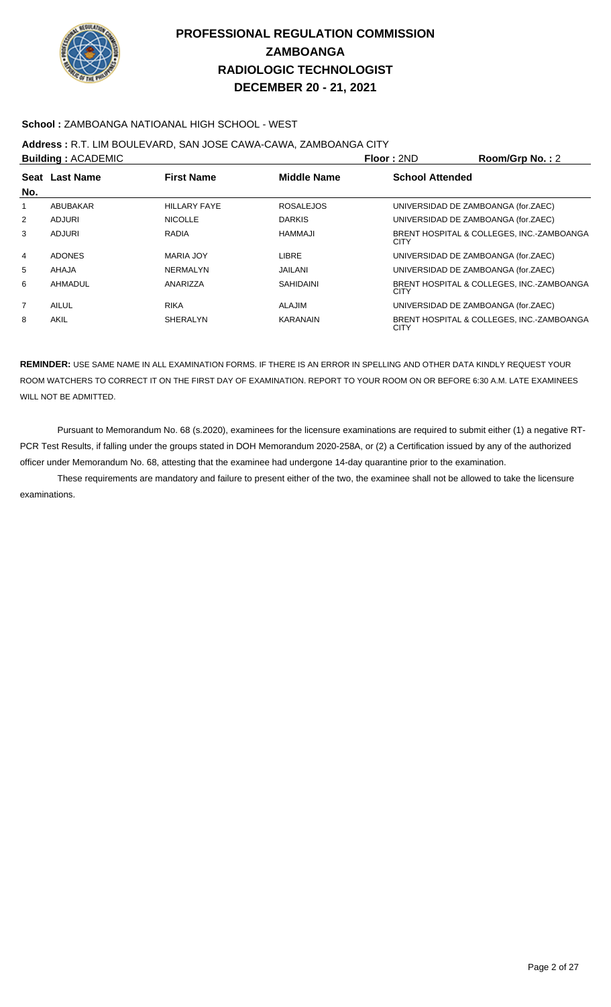

### **School :** ZAMBOANGA NATIOANAL HIGH SCHOOL - WEST

### **Address :** R.T. LIM BOULEVARD, SAN JOSE CAWA-CAWA, ZAMBOANGA CITY

|                | <b>Building: ACADEMIC</b> |                     |                    | Floor: 2ND                          | Room/Grp No.: 2                           |
|----------------|---------------------------|---------------------|--------------------|-------------------------------------|-------------------------------------------|
|                | Seat Last Name            | <b>First Name</b>   | <b>Middle Name</b> | <b>School Attended</b>              |                                           |
| No.            |                           |                     |                    |                                     |                                           |
| 1              | ABUBAKAR                  | <b>HILLARY FAYE</b> | <b>ROSALEJOS</b>   | UNIVERSIDAD DE ZAMBOANGA (for.ZAEC) |                                           |
| 2              | ADJURI                    | <b>NICOLLE</b>      | <b>DARKIS</b>      | UNIVERSIDAD DE ZAMBOANGA (for.ZAEC) |                                           |
| 3              | <b>ADJURI</b>             | <b>RADIA</b>        | HAMMAJI            | CITY                                | BRENT HOSPITAL & COLLEGES. INC.-ZAMBOANGA |
| 4              | <b>ADONES</b>             | MARIA JOY           | <b>LIBRE</b>       | UNIVERSIDAD DE ZAMBOANGA (for.ZAEC) |                                           |
| 5              | <b>AHAJA</b>              | NERMALYN            | <b>JAILANI</b>     | UNIVERSIDAD DE ZAMBOANGA (for.ZAEC) |                                           |
| 6              | AHMADUL                   | ANARIZZA            | <b>SAHIDAINI</b>   | CITY                                | BRENT HOSPITAL & COLLEGES, INC.-ZAMBOANGA |
| $\overline{7}$ | AILUL                     | <b>RIKA</b>         | ALAJIM             | UNIVERSIDAD DE ZAMBOANGA (for.ZAEC) |                                           |
| 8              | AKIL                      | <b>SHERALYN</b>     | <b>KARANAIN</b>    | CITY                                | BRENT HOSPITAL & COLLEGES, INC.-ZAMBOANGA |

**REMINDER:** USE SAME NAME IN ALL EXAMINATION FORMS. IF THERE IS AN ERROR IN SPELLING AND OTHER DATA KINDLY REQUEST YOUR ROOM WATCHERS TO CORRECT IT ON THE FIRST DAY OF EXAMINATION. REPORT TO YOUR ROOM ON OR BEFORE 6:30 A.M. LATE EXAMINEES WILL NOT BE ADMITTED.

 Pursuant to Memorandum No. 68 (s.2020), examinees for the licensure examinations are required to submit either (1) a negative RT-PCR Test Results, if falling under the groups stated in DOH Memorandum 2020-258A, or (2) a Certification issued by any of the authorized officer under Memorandum No. 68, attesting that the examinee had undergone 14-day quarantine prior to the examination.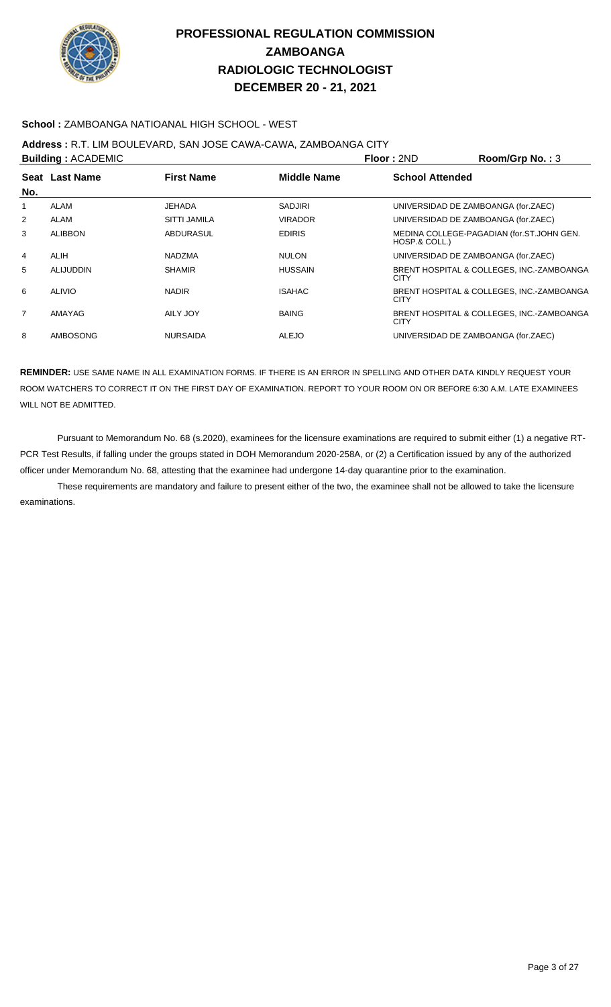

### **School :** ZAMBOANGA NATIOANAL HIGH SCHOOL - WEST

### **Address :** R.T. LIM BOULEVARD, SAN JOSE CAWA-CAWA, ZAMBOANGA CITY

|                | <b>Building: ACADEMIC</b> |                     |                    | Floor: 2ND             | Room/Grp No.: 3                           |
|----------------|---------------------------|---------------------|--------------------|------------------------|-------------------------------------------|
|                | Seat Last Name            | <b>First Name</b>   | <b>Middle Name</b> | <b>School Attended</b> |                                           |
| No.            |                           |                     |                    |                        |                                           |
| 1              | ALAM                      | <b>JEHADA</b>       | <b>SADJIRI</b>     |                        | UNIVERSIDAD DE ZAMBOANGA (for.ZAEC)       |
| $\overline{2}$ | ALAM                      | <b>SITTI JAMILA</b> | <b>VIRADOR</b>     |                        | UNIVERSIDAD DE ZAMBOANGA (for.ZAEC)       |
| 3              | <b>ALIBBON</b>            | <b>ABDURASUL</b>    | <b>EDIRIS</b>      | HOSP.& COLL.)          | MEDINA COLLEGE-PAGADIAN (for.ST.JOHN GEN. |
| 4              | <b>ALIH</b>               | <b>NADZMA</b>       | <b>NULON</b>       |                        | UNIVERSIDAD DE ZAMBOANGA (for.ZAEC)       |
| 5              | ALIJUDDIN                 | <b>SHAMIR</b>       | <b>HUSSAIN</b>     | <b>CITY</b>            | BRENT HOSPITAL & COLLEGES, INC.-ZAMBOANGA |
| 6              | <b>ALIVIO</b>             | <b>NADIR</b>        | <b>ISAHAC</b>      | <b>CITY</b>            | BRENT HOSPITAL & COLLEGES, INC.-ZAMBOANGA |
| $\overline{7}$ | AMAYAG                    | AILY JOY            | <b>BAING</b>       | <b>CITY</b>            | BRENT HOSPITAL & COLLEGES, INC.-ZAMBOANGA |
| 8              | <b>AMBOSONG</b>           | <b>NURSAIDA</b>     | <b>ALEJO</b>       |                        | UNIVERSIDAD DE ZAMBOANGA (for.ZAEC)       |

**REMINDER:** USE SAME NAME IN ALL EXAMINATION FORMS. IF THERE IS AN ERROR IN SPELLING AND OTHER DATA KINDLY REQUEST YOUR ROOM WATCHERS TO CORRECT IT ON THE FIRST DAY OF EXAMINATION. REPORT TO YOUR ROOM ON OR BEFORE 6:30 A.M. LATE EXAMINEES WILL NOT BE ADMITTED.

 Pursuant to Memorandum No. 68 (s.2020), examinees for the licensure examinations are required to submit either (1) a negative RT-PCR Test Results, if falling under the groups stated in DOH Memorandum 2020-258A, or (2) a Certification issued by any of the authorized officer under Memorandum No. 68, attesting that the examinee had undergone 14-day quarantine prior to the examination.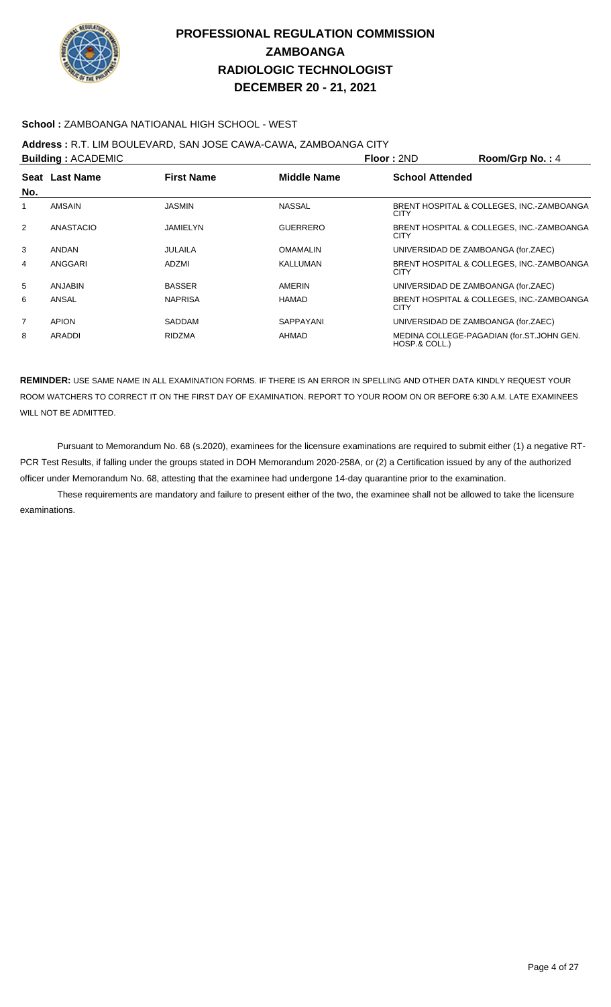

### **School :** ZAMBOANGA NATIOANAL HIGH SCHOOL - WEST

## **Address :** R.T. LIM BOULEVARD, SAN JOSE CAWA-CAWA, ZAMBOANGA CITY

| <b>Building: ACADEMIC</b> |                |                   |                    | Room/Grp No.: 4<br>Floor: 2ND                              |  |
|---------------------------|----------------|-------------------|--------------------|------------------------------------------------------------|--|
|                           | Seat Last Name | <b>First Name</b> | <b>Middle Name</b> | <b>School Attended</b>                                     |  |
| No.                       |                |                   |                    |                                                            |  |
| 1                         | AMSAIN         | <b>JASMIN</b>     | <b>NASSAL</b>      | BRENT HOSPITAL & COLLEGES, INC.-ZAMBOANGA<br><b>CITY</b>   |  |
| 2                         | ANASTACIO      | JAMIELYN          | <b>GUERRERO</b>    | BRENT HOSPITAL & COLLEGES, INC.-ZAMBOANGA<br><b>CITY</b>   |  |
| 3                         | <b>ANDAN</b>   | JULAILA           | <b>OMAMALIN</b>    | UNIVERSIDAD DE ZAMBOANGA (for.ZAEC)                        |  |
| 4                         | ANGGARI        | ADZMI             | KALLUMAN           | BRENT HOSPITAL & COLLEGES, INC.-ZAMBOANGA<br><b>CITY</b>   |  |
| 5                         | ANJABIN        | <b>BASSER</b>     | AMERIN             | UNIVERSIDAD DE ZAMBOANGA (for.ZAEC)                        |  |
| 6                         | ANSAL          | <b>NAPRISA</b>    | HAMAD              | BRENT HOSPITAL & COLLEGES, INC.-ZAMBOANGA<br><b>CITY</b>   |  |
| $\overline{7}$            | <b>APION</b>   | <b>SADDAM</b>     | SAPPAYANI          | UNIVERSIDAD DE ZAMBOANGA (for.ZAEC)                        |  |
| 8                         | ARADDI         | <b>RIDZMA</b>     | AHMAD              | MEDINA COLLEGE-PAGADIAN (for.ST.JOHN GEN.<br>HOSP.& COLL.) |  |

**REMINDER:** USE SAME NAME IN ALL EXAMINATION FORMS. IF THERE IS AN ERROR IN SPELLING AND OTHER DATA KINDLY REQUEST YOUR ROOM WATCHERS TO CORRECT IT ON THE FIRST DAY OF EXAMINATION. REPORT TO YOUR ROOM ON OR BEFORE 6:30 A.M. LATE EXAMINEES WILL NOT BE ADMITTED.

 Pursuant to Memorandum No. 68 (s.2020), examinees for the licensure examinations are required to submit either (1) a negative RT-PCR Test Results, if falling under the groups stated in DOH Memorandum 2020-258A, or (2) a Certification issued by any of the authorized officer under Memorandum No. 68, attesting that the examinee had undergone 14-day quarantine prior to the examination.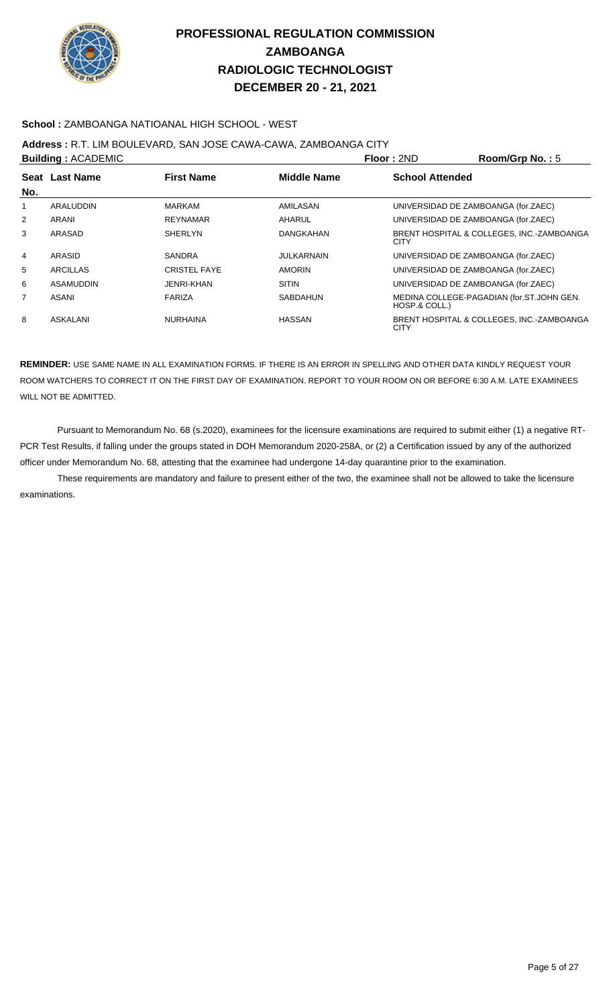

### **School :** ZAMBOANGA NATIOANAL HIGH SCHOOL - WEST

## **Address :** R.T. LIM BOULEVARD, SAN JOSE CAWA-CAWA, ZAMBOANGA CITY

|                | <b>Building: ACADEMIC</b> |                     |                   | <b>Floor: 2ND</b>                   | Room/Grp No.: 5                           |
|----------------|---------------------------|---------------------|-------------------|-------------------------------------|-------------------------------------------|
|                | Seat Last Name            | <b>First Name</b>   | Middle Name       | <b>School Attended</b>              |                                           |
| No.            |                           |                     |                   |                                     |                                           |
| 1              | ARALUDDIN                 | MARKAM              | AMILASAN          | UNIVERSIDAD DE ZAMBOANGA (for.ZAEC) |                                           |
| 2              | ARANI                     | <b>REYNAMAR</b>     | AHARUL            | UNIVERSIDAD DE ZAMBOANGA (for.ZAEC) |                                           |
| 3              | ARASAD                    | <b>SHERLYN</b>      | <b>DANGKAHAN</b>  | <b>CITY</b>                         | BRENT HOSPITAL & COLLEGES, INC.-ZAMBOANGA |
| $\overline{4}$ | ARASID                    | <b>SANDRA</b>       | <b>JULKARNAIN</b> | UNIVERSIDAD DE ZAMBOANGA (for.ZAEC) |                                           |
| 5              | <b>ARCILLAS</b>           | <b>CRISTEL FAYE</b> | <b>AMORIN</b>     | UNIVERSIDAD DE ZAMBOANGA (for.ZAEC) |                                           |
| 6              | ASAMUDDIN                 | JENRI-KHAN          | <b>SITIN</b>      | UNIVERSIDAD DE ZAMBOANGA (for.ZAEC) |                                           |
| 7              | ASANI                     | FARIZA              | <b>SABDAHUN</b>   | HOSP.& COLL.)                       | MEDINA COLLEGE-PAGADIAN (for.ST.JOHN GEN. |
| 8              | ASKALANI                  | <b>NURHAINA</b>     | <b>HASSAN</b>     | <b>CITY</b>                         | BRENT HOSPITAL & COLLEGES. INC.-ZAMBOANGA |

**REMINDER:** USE SAME NAME IN ALL EXAMINATION FORMS. IF THERE IS AN ERROR IN SPELLING AND OTHER DATA KINDLY REQUEST YOUR ROOM WATCHERS TO CORRECT IT ON THE FIRST DAY OF EXAMINATION. REPORT TO YOUR ROOM ON OR BEFORE 6:30 A.M. LATE EXAMINEES WILL NOT BE ADMITTED.

 Pursuant to Memorandum No. 68 (s.2020), examinees for the licensure examinations are required to submit either (1) a negative RT-PCR Test Results, if falling under the groups stated in DOH Memorandum 2020-258A, or (2) a Certification issued by any of the authorized officer under Memorandum No. 68, attesting that the examinee had undergone 14-day quarantine prior to the examination.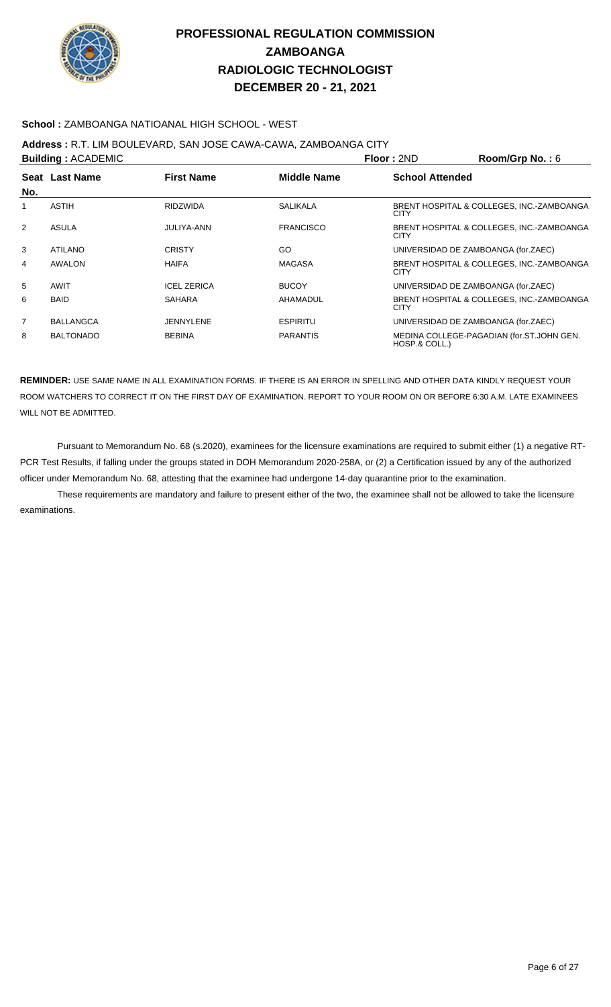

### **School :** ZAMBOANGA NATIOANAL HIGH SCHOOL - WEST

## **Address :** R.T. LIM BOULEVARD, SAN JOSE CAWA-CAWA, ZAMBOANGA CITY

| <b>Building: ACADEMIC</b> |                  |                    |                    | Floor: 2ND                          | Room/Grp No.: 6                           |
|---------------------------|------------------|--------------------|--------------------|-------------------------------------|-------------------------------------------|
|                           | Seat Last Name   | <b>First Name</b>  | <b>Middle Name</b> | <b>School Attended</b>              |                                           |
| No.                       |                  |                    |                    |                                     |                                           |
| 1                         | ASTIH            | <b>RIDZWIDA</b>    | <b>SALIKALA</b>    | <b>CITY</b>                         | BRENT HOSPITAL & COLLEGES, INC.-ZAMBOANGA |
| 2                         | <b>ASULA</b>     | JULIYA-ANN         | <b>FRANCISCO</b>   | <b>CITY</b>                         | BRENT HOSPITAL & COLLEGES, INC.-ZAMBOANGA |
| 3                         | <b>ATILANO</b>   | <b>CRISTY</b>      | GO                 | UNIVERSIDAD DE ZAMBOANGA (for.ZAEC) |                                           |
| 4                         | AWALON           | <b>HAIFA</b>       | <b>MAGASA</b>      | <b>CITY</b>                         | BRENT HOSPITAL & COLLEGES, INC.-ZAMBOANGA |
| 5                         | AWIT             | <b>ICEL ZERICA</b> | <b>BUCOY</b>       | UNIVERSIDAD DE ZAMBOANGA (for.ZAEC) |                                           |
| 6                         | <b>BAID</b>      | <b>SAHARA</b>      | AHAMADUL           | <b>CITY</b>                         | BRENT HOSPITAL & COLLEGES, INC.-ZAMBOANGA |
| 7                         | <b>BALLANGCA</b> | <b>JENNYLENE</b>   | <b>ESPIRITU</b>    | UNIVERSIDAD DE ZAMBOANGA (for.ZAEC) |                                           |
| 8                         | <b>BALTONADO</b> | <b>BEBINA</b>      | <b>PARANTIS</b>    | HOSP.& COLL.)                       | MEDINA COLLEGE-PAGADIAN (for.ST.JOHN GEN. |

**REMINDER:** USE SAME NAME IN ALL EXAMINATION FORMS. IF THERE IS AN ERROR IN SPELLING AND OTHER DATA KINDLY REQUEST YOUR ROOM WATCHERS TO CORRECT IT ON THE FIRST DAY OF EXAMINATION. REPORT TO YOUR ROOM ON OR BEFORE 6:30 A.M. LATE EXAMINEES WILL NOT BE ADMITTED.

 Pursuant to Memorandum No. 68 (s.2020), examinees for the licensure examinations are required to submit either (1) a negative RT-PCR Test Results, if falling under the groups stated in DOH Memorandum 2020-258A, or (2) a Certification issued by any of the authorized officer under Memorandum No. 68, attesting that the examinee had undergone 14-day quarantine prior to the examination.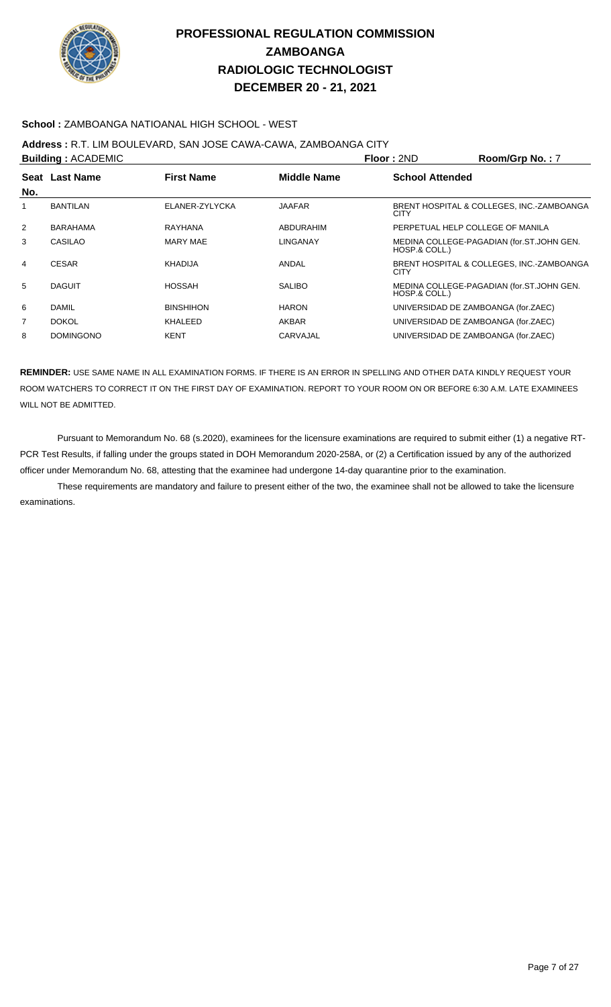

### **School :** ZAMBOANGA NATIOANAL HIGH SCHOOL - WEST

## **Address :** R.T. LIM BOULEVARD, SAN JOSE CAWA-CAWA, ZAMBOANGA CITY

|                | <b>Building: ACADEMIC</b> |                   |                    | Room/Grp No.: 7<br>Floor: 2ND       |                                           |
|----------------|---------------------------|-------------------|--------------------|-------------------------------------|-------------------------------------------|
|                | Seat Last Name            | <b>First Name</b> | <b>Middle Name</b> | <b>School Attended</b>              |                                           |
| No.            |                           |                   |                    |                                     |                                           |
| 1              | <b>BANTILAN</b>           | ELANER-ZYLYCKA    | <b>JAAFAR</b>      | <b>CITY</b>                         | BRENT HOSPITAL & COLLEGES, INC.-ZAMBOANGA |
| 2              | <b>BARAHAMA</b>           | RAYHANA           | ABDURAHIM          | PERPETUAL HELP COLLEGE OF MANILA    |                                           |
| 3              | CASILAO                   | MARY MAE          | LINGANAY           | HOSP.& COLL.)                       | MEDINA COLLEGE-PAGADIAN (for.ST.JOHN GEN. |
| 4              | <b>CESAR</b>              | KHADIJA           | ANDAL              | CITY                                | BRENT HOSPITAL & COLLEGES, INC.-ZAMBOANGA |
| 5              | <b>DAGUIT</b>             | <b>HOSSAH</b>     | <b>SALIBO</b>      | HOSP.& COLL.)                       | MEDINA COLLEGE-PAGADIAN (for.ST.JOHN GEN. |
| 6              | <b>DAMIL</b>              | <b>BINSHIHON</b>  | <b>HARON</b>       |                                     | UNIVERSIDAD DE ZAMBOANGA (for.ZAEC)       |
| $\overline{7}$ | <b>DOKOL</b>              | KHALEED           | <b>AKBAR</b>       |                                     | UNIVERSIDAD DE ZAMBOANGA (for.ZAEC)       |
| 8              | <b>DOMINGONO</b>          | <b>KENT</b>       | CARVAJAL           | UNIVERSIDAD DE ZAMBOANGA (for.ZAEC) |                                           |

**REMINDER:** USE SAME NAME IN ALL EXAMINATION FORMS. IF THERE IS AN ERROR IN SPELLING AND OTHER DATA KINDLY REQUEST YOUR ROOM WATCHERS TO CORRECT IT ON THE FIRST DAY OF EXAMINATION. REPORT TO YOUR ROOM ON OR BEFORE 6:30 A.M. LATE EXAMINEES WILL NOT BE ADMITTED.

 Pursuant to Memorandum No. 68 (s.2020), examinees for the licensure examinations are required to submit either (1) a negative RT-PCR Test Results, if falling under the groups stated in DOH Memorandum 2020-258A, or (2) a Certification issued by any of the authorized officer under Memorandum No. 68, attesting that the examinee had undergone 14-day quarantine prior to the examination.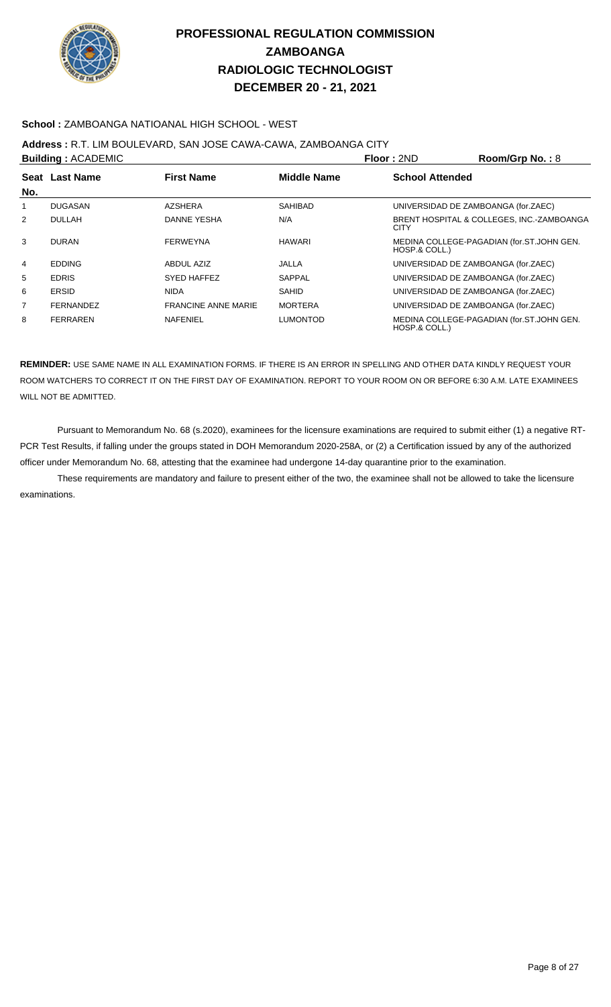

### **School :** ZAMBOANGA NATIOANAL HIGH SCHOOL - WEST

## **Address :** R.T. LIM BOULEVARD, SAN JOSE CAWA-CAWA, ZAMBOANGA CITY

|                | <b>Building: ACADEMIC</b> |                            |                 | Floor: 2ND             | Room/Grp No.: 8                           |
|----------------|---------------------------|----------------------------|-----------------|------------------------|-------------------------------------------|
|                | Seat Last Name            | <b>First Name</b>          | Middle Name     | <b>School Attended</b> |                                           |
| No.            |                           |                            |                 |                        |                                           |
| 1              | DUGASAN                   | <b>AZSHERA</b>             | <b>SAHIBAD</b>  |                        | UNIVERSIDAD DE ZAMBOANGA (for.ZAEC)       |
| 2              | <b>DULLAH</b>             | DANNE YESHA                | N/A             | <b>CITY</b>            | BRENT HOSPITAL & COLLEGES, INC.-ZAMBOANGA |
| 3              | <b>DURAN</b>              | <b>FERWEYNA</b>            | <b>HAWARI</b>   | HOSP.& COLL.)          | MEDINA COLLEGE-PAGADIAN (for.ST.JOHN GEN. |
| 4              | <b>EDDING</b>             | ABDUL AZIZ                 | JALLA           |                        | UNIVERSIDAD DE ZAMBOANGA (for.ZAEC)       |
| 5              | <b>EDRIS</b>              | SYED HAFFEZ                | SAPPAL          |                        | UNIVERSIDAD DE ZAMBOANGA (for.ZAEC)       |
| 6              | ERSID                     | <b>NIDA</b>                | <b>SAHID</b>    |                        | UNIVERSIDAD DE ZAMBOANGA (for.ZAEC)       |
| $\overline{7}$ | <b>FERNANDEZ</b>          | <b>FRANCINE ANNE MARIE</b> | <b>MORTERA</b>  |                        | UNIVERSIDAD DE ZAMBOANGA (for.ZAEC)       |
| 8              | <b>FERRAREN</b>           | <b>NAFENIEL</b>            | <b>LUMONTOD</b> | HOSP.& COLL.)          | MEDINA COLLEGE-PAGADIAN (for.ST.JOHN GEN. |

**REMINDER:** USE SAME NAME IN ALL EXAMINATION FORMS. IF THERE IS AN ERROR IN SPELLING AND OTHER DATA KINDLY REQUEST YOUR ROOM WATCHERS TO CORRECT IT ON THE FIRST DAY OF EXAMINATION. REPORT TO YOUR ROOM ON OR BEFORE 6:30 A.M. LATE EXAMINEES WILL NOT BE ADMITTED.

 Pursuant to Memorandum No. 68 (s.2020), examinees for the licensure examinations are required to submit either (1) a negative RT-PCR Test Results, if falling under the groups stated in DOH Memorandum 2020-258A, or (2) a Certification issued by any of the authorized officer under Memorandum No. 68, attesting that the examinee had undergone 14-day quarantine prior to the examination.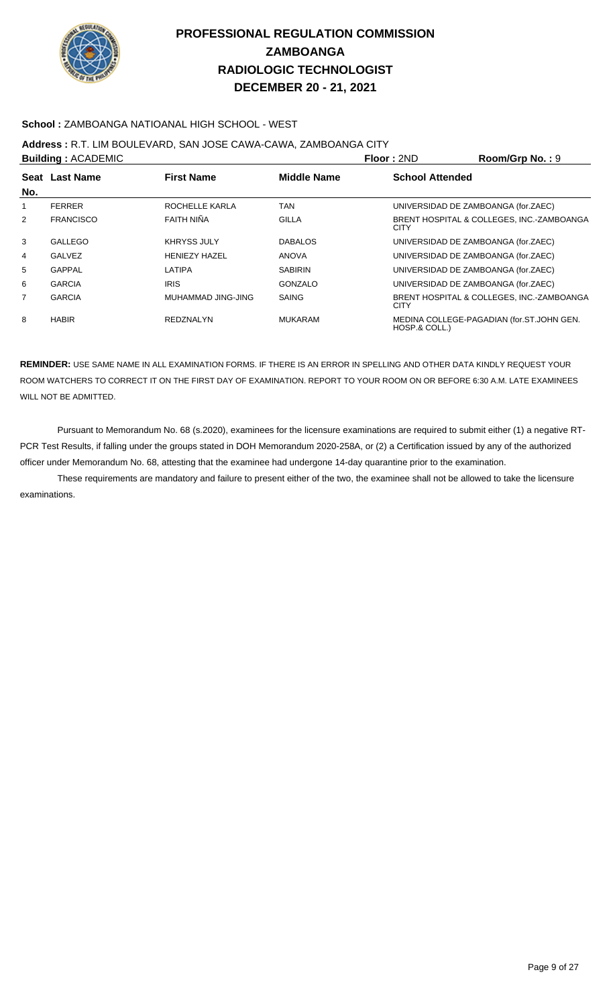

### **School :** ZAMBOANGA NATIOANAL HIGH SCHOOL - WEST

## **Address :** R.T. LIM BOULEVARD, SAN JOSE CAWA-CAWA, ZAMBOANGA CITY

|                | <b>Building: ACADEMIC</b> |                      |                    | Floor: 2ND             | Room/Grp No.: 9                           |
|----------------|---------------------------|----------------------|--------------------|------------------------|-------------------------------------------|
|                | Seat Last Name            | <b>First Name</b>    | <b>Middle Name</b> | <b>School Attended</b> |                                           |
| No.            |                           |                      |                    |                        |                                           |
| 1              | <b>FERRER</b>             | ROCHELLE KARLA       | TAN                |                        | UNIVERSIDAD DE ZAMBOANGA (for.ZAEC)       |
| 2              | <b>FRANCISCO</b>          | FAITH NIÑA           | <b>GILLA</b>       | <b>CITY</b>            | BRENT HOSPITAL & COLLEGES, INC.-ZAMBOANGA |
| 3              | GALLEGO                   | <b>KHRYSS JULY</b>   | <b>DABALOS</b>     |                        | UNIVERSIDAD DE ZAMBOANGA (for.ZAEC)       |
| 4              | <b>GALVEZ</b>             | <b>HENIEZY HAZEL</b> | ANOVA              |                        | UNIVERSIDAD DE ZAMBOANGA (for.ZAEC)       |
| 5              | GAPPAL                    | LATIPA               | <b>SABIRIN</b>     |                        | UNIVERSIDAD DE ZAMBOANGA (for.ZAEC)       |
| 6              | <b>GARCIA</b>             | <b>IRIS</b>          | <b>GONZALO</b>     |                        | UNIVERSIDAD DE ZAMBOANGA (for.ZAEC)       |
| $\overline{7}$ | <b>GARCIA</b>             | MUHAMMAD JING-JING   | <b>SAING</b>       | <b>CITY</b>            | BRENT HOSPITAL & COLLEGES, INC.-ZAMBOANGA |
| 8              | <b>HABIR</b>              | <b>REDZNALYN</b>     | <b>MUKARAM</b>     | HOSP.& COLL.)          | MEDINA COLLEGE-PAGADIAN (for.ST.JOHN GEN. |

**REMINDER:** USE SAME NAME IN ALL EXAMINATION FORMS. IF THERE IS AN ERROR IN SPELLING AND OTHER DATA KINDLY REQUEST YOUR ROOM WATCHERS TO CORRECT IT ON THE FIRST DAY OF EXAMINATION. REPORT TO YOUR ROOM ON OR BEFORE 6:30 A.M. LATE EXAMINEES WILL NOT BE ADMITTED.

 Pursuant to Memorandum No. 68 (s.2020), examinees for the licensure examinations are required to submit either (1) a negative RT-PCR Test Results, if falling under the groups stated in DOH Memorandum 2020-258A, or (2) a Certification issued by any of the authorized officer under Memorandum No. 68, attesting that the examinee had undergone 14-day quarantine prior to the examination.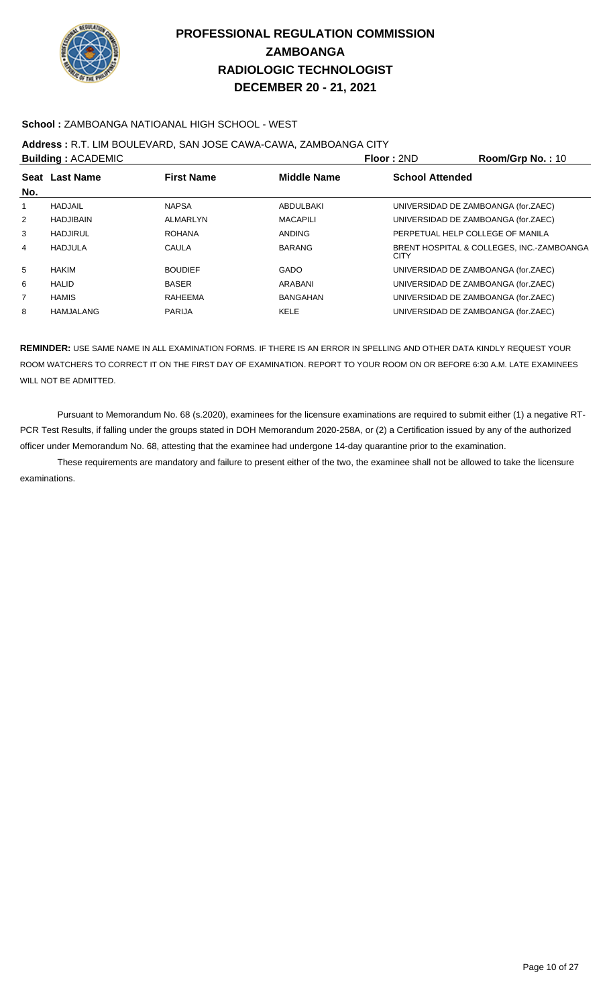

### **School :** ZAMBOANGA NATIOANAL HIGH SCHOOL - WEST

### **Address :** R.T. LIM BOULEVARD, SAN JOSE CAWA-CAWA, ZAMBOANGA CITY

|                | <b>Building: ACADEMIC</b> |                   |                    | Floor: 2ND                       | Room/Grp No.: 10                          |
|----------------|---------------------------|-------------------|--------------------|----------------------------------|-------------------------------------------|
| No.            | Seat Last Name            | <b>First Name</b> | <b>Middle Name</b> | <b>School Attended</b>           |                                           |
| 1              | HADJAIL                   | <b>NAPSA</b>      | ABDULBAKI          |                                  | UNIVERSIDAD DE ZAMBOANGA (for.ZAEC)       |
| $\overline{2}$ | <b>HADJIBAIN</b>          | ALMARLYN          | <b>MACAPILI</b>    |                                  | UNIVERSIDAD DE ZAMBOANGA (for.ZAEC)       |
| 3              | HADJIRUL                  | <b>ROHANA</b>     | <b>ANDING</b>      | PERPETUAL HELP COLLEGE OF MANILA |                                           |
| 4              | HADJULA                   | CAULA             | <b>BARANG</b>      | <b>CITY</b>                      | BRENT HOSPITAL & COLLEGES, INC.-ZAMBOANGA |
| 5              | <b>HAKIM</b>              | <b>BOUDIEF</b>    | <b>GADO</b>        |                                  | UNIVERSIDAD DE ZAMBOANGA (for.ZAEC)       |
| 6              | <b>HALID</b>              | <b>BASER</b>      | ARABANI            |                                  | UNIVERSIDAD DE ZAMBOANGA (for.ZAEC)       |
| $\overline{7}$ | <b>HAMIS</b>              | RAHEEMA           | BANGAHAN           |                                  | UNIVERSIDAD DE ZAMBOANGA (for.ZAEC)       |
| 8              | HAMJALANG                 | <b>PARIJA</b>     | <b>KELE</b>        |                                  | UNIVERSIDAD DE ZAMBOANGA (for.ZAEC)       |

**REMINDER:** USE SAME NAME IN ALL EXAMINATION FORMS. IF THERE IS AN ERROR IN SPELLING AND OTHER DATA KINDLY REQUEST YOUR ROOM WATCHERS TO CORRECT IT ON THE FIRST DAY OF EXAMINATION. REPORT TO YOUR ROOM ON OR BEFORE 6:30 A.M. LATE EXAMINEES WILL NOT BE ADMITTED.

 Pursuant to Memorandum No. 68 (s.2020), examinees for the licensure examinations are required to submit either (1) a negative RT-PCR Test Results, if falling under the groups stated in DOH Memorandum 2020-258A, or (2) a Certification issued by any of the authorized officer under Memorandum No. 68, attesting that the examinee had undergone 14-day quarantine prior to the examination.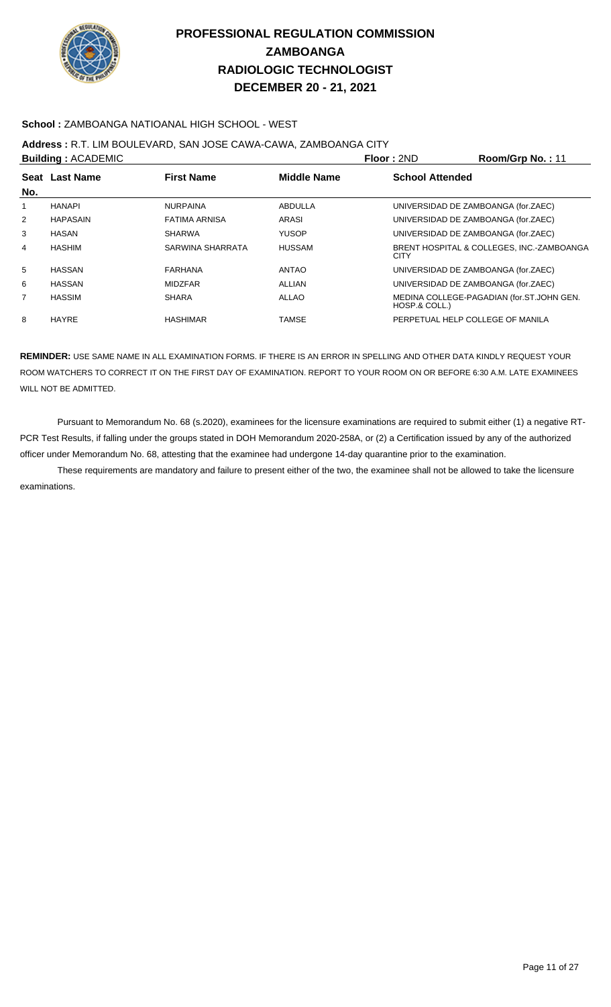

### **School :** ZAMBOANGA NATIOANAL HIGH SCHOOL - WEST

### **Address :** R.T. LIM BOULEVARD, SAN JOSE CAWA-CAWA, ZAMBOANGA CITY

|                | <b>Building: ACADEMIC</b> |                      |                    | Floor: 2ND             | Room/Grp No.: 11                          |
|----------------|---------------------------|----------------------|--------------------|------------------------|-------------------------------------------|
|                | Seat Last Name            | <b>First Name</b>    | <b>Middle Name</b> | <b>School Attended</b> |                                           |
| No.            |                           |                      |                    |                        |                                           |
|                | <b>HANAPI</b>             | <b>NURPAINA</b>      | ABDULLA            |                        | UNIVERSIDAD DE ZAMBOANGA (for.ZAEC)       |
| $\overline{2}$ | <b>HAPASAIN</b>           | <b>FATIMA ARNISA</b> | ARASI              |                        | UNIVERSIDAD DE ZAMBOANGA (for.ZAEC)       |
| 3              | <b>HASAN</b>              | <b>SHARWA</b>        | <b>YUSOP</b>       |                        | UNIVERSIDAD DE ZAMBOANGA (for.ZAEC)       |
| 4              | HASHIM                    | SARWINA SHARRATA     | <b>HUSSAM</b>      | <b>CITY</b>            | BRENT HOSPITAL & COLLEGES, INC.-ZAMBOANGA |
| 5              | <b>HASSAN</b>             | <b>FARHANA</b>       | <b>ANTAO</b>       |                        | UNIVERSIDAD DE ZAMBOANGA (for.ZAEC)       |
| 6              | HASSAN                    | <b>MIDZFAR</b>       | <b>ALLIAN</b>      |                        | UNIVERSIDAD DE ZAMBOANGA (for.ZAEC)       |
| $\overline{7}$ | <b>HASSIM</b>             | <b>SHARA</b>         | ALLAO              | HOSP.& COLL.)          | MEDINA COLLEGE-PAGADIAN (for.ST.JOHN GEN. |
| 8              | <b>HAYRE</b>              | <b>HASHIMAR</b>      | TAMSE              |                        | PERPETUAL HELP COLLEGE OF MANILA          |

**REMINDER:** USE SAME NAME IN ALL EXAMINATION FORMS. IF THERE IS AN ERROR IN SPELLING AND OTHER DATA KINDLY REQUEST YOUR ROOM WATCHERS TO CORRECT IT ON THE FIRST DAY OF EXAMINATION. REPORT TO YOUR ROOM ON OR BEFORE 6:30 A.M. LATE EXAMINEES WILL NOT BE ADMITTED.

 Pursuant to Memorandum No. 68 (s.2020), examinees for the licensure examinations are required to submit either (1) a negative RT-PCR Test Results, if falling under the groups stated in DOH Memorandum 2020-258A, or (2) a Certification issued by any of the authorized officer under Memorandum No. 68, attesting that the examinee had undergone 14-day quarantine prior to the examination.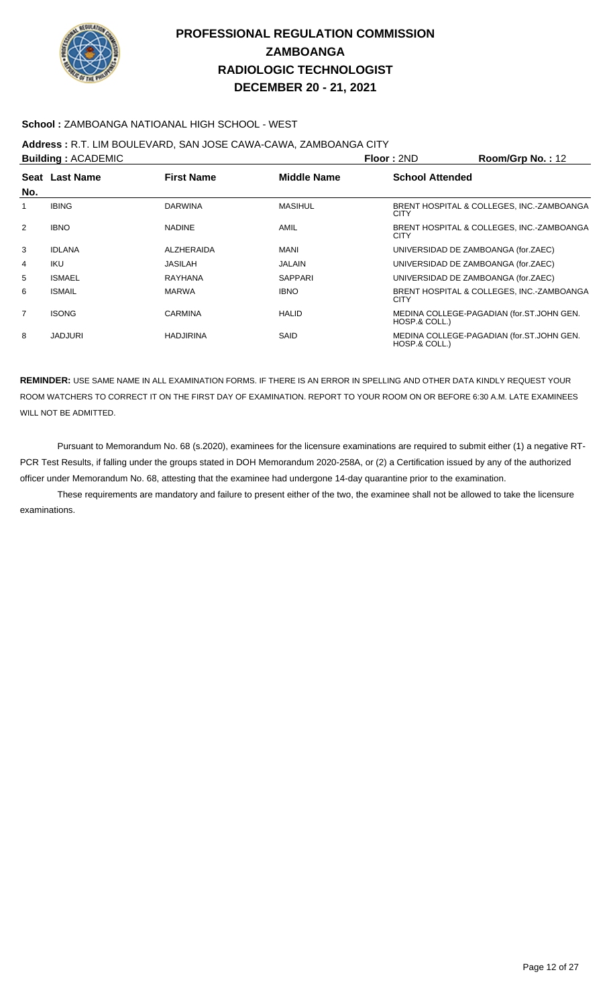

### **School :** ZAMBOANGA NATIOANAL HIGH SCHOOL - WEST

## **Address :** R.T. LIM BOULEVARD, SAN JOSE CAWA-CAWA, ZAMBOANGA CITY

| <b>Building: ACADEMIC</b> |                                                           |                  |                | Floor: 2ND                          | Room/Grp No.: 12                          |
|---------------------------|-----------------------------------------------------------|------------------|----------------|-------------------------------------|-------------------------------------------|
|                           | <b>Middle Name</b><br>Seat Last Name<br><b>First Name</b> |                  |                | <b>School Attended</b>              |                                           |
| No.                       |                                                           |                  |                |                                     |                                           |
| 1                         | <b>IBING</b>                                              | <b>DARWINA</b>   | <b>MASIHUL</b> | <b>CITY</b>                         | BRENT HOSPITAL & COLLEGES. INC.-ZAMBOANGA |
| 2                         | <b>IBNO</b>                                               | <b>NADINE</b>    | AMIL           | <b>CITY</b>                         | BRENT HOSPITAL & COLLEGES, INC.-ZAMBOANGA |
| 3                         | <b>IDLANA</b>                                             | ALZHERAIDA       | <b>MANI</b>    | UNIVERSIDAD DE ZAMBOANGA (for.ZAEC) |                                           |
| 4                         | IKU                                                       | <b>JASILAH</b>   | <b>JALAIN</b>  | UNIVERSIDAD DE ZAMBOANGA (for.ZAEC) |                                           |
| 5                         | <b>ISMAEL</b>                                             | <b>RAYHANA</b>   | <b>SAPPARI</b> | UNIVERSIDAD DE ZAMBOANGA (for.ZAEC) |                                           |
| 6                         | <b>ISMAIL</b>                                             | <b>MARWA</b>     | <b>IBNO</b>    | <b>CITY</b>                         | BRENT HOSPITAL & COLLEGES, INC.-ZAMBOANGA |
| $\overline{7}$            | <b>ISONG</b>                                              | <b>CARMINA</b>   | <b>HALID</b>   | HOSP.& COLL.)                       | MEDINA COLLEGE-PAGADIAN (for.ST.JOHN GEN. |
| 8                         | <b>JADJURI</b>                                            | <b>HADJIRINA</b> | SAID           | HOSP.& COLL.)                       | MEDINA COLLEGE-PAGADIAN (for.ST.JOHN GEN. |

**REMINDER:** USE SAME NAME IN ALL EXAMINATION FORMS. IF THERE IS AN ERROR IN SPELLING AND OTHER DATA KINDLY REQUEST YOUR ROOM WATCHERS TO CORRECT IT ON THE FIRST DAY OF EXAMINATION. REPORT TO YOUR ROOM ON OR BEFORE 6:30 A.M. LATE EXAMINEES WILL NOT BE ADMITTED.

 Pursuant to Memorandum No. 68 (s.2020), examinees for the licensure examinations are required to submit either (1) a negative RT-PCR Test Results, if falling under the groups stated in DOH Memorandum 2020-258A, or (2) a Certification issued by any of the authorized officer under Memorandum No. 68, attesting that the examinee had undergone 14-day quarantine prior to the examination.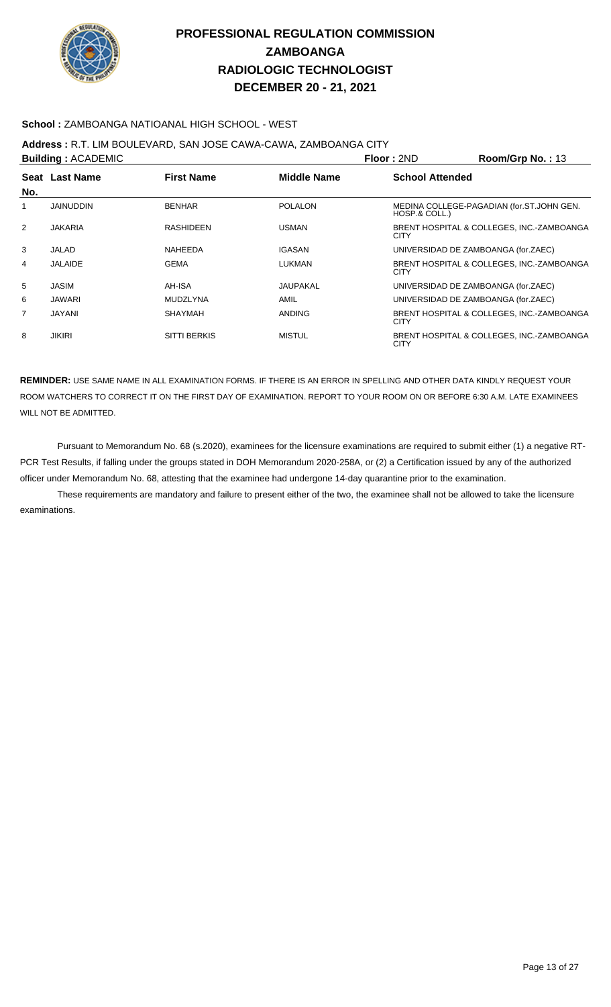

### **School :** ZAMBOANGA NATIOANAL HIGH SCHOOL - WEST

# **Address :** R.T. LIM BOULEVARD, SAN JOSE CAWA-CAWA, ZAMBOANGA CITY

|                | Seat Last Name   |                     |                    |                        |                                           |
|----------------|------------------|---------------------|--------------------|------------------------|-------------------------------------------|
|                |                  | <b>First Name</b>   | <b>Middle Name</b> | <b>School Attended</b> |                                           |
| No.            |                  |                     |                    |                        |                                           |
| 1              | <b>JAINUDDIN</b> | <b>BENHAR</b>       | <b>POLALON</b>     | HOSP.& COLL.)          | MEDINA COLLEGE-PAGADIAN (for.ST.JOHN GEN. |
| 2              | <b>JAKARIA</b>   | <b>RASHIDEEN</b>    | <b>USMAN</b>       | <b>CITY</b>            | BRENT HOSPITAL & COLLEGES, INC.-ZAMBOANGA |
| 3              | JALAD            | NAHEEDA             | <b>IGASAN</b>      |                        | UNIVERSIDAD DE ZAMBOANGA (for.ZAEC)       |
| 4              | <b>JALAIDE</b>   | <b>GEMA</b>         | <b>LUKMAN</b>      | <b>CITY</b>            | BRENT HOSPITAL & COLLEGES, INC.-ZAMBOANGA |
| 5              | JASIM            | AH-ISA              | <b>JAUPAKAL</b>    |                        | UNIVERSIDAD DE ZAMBOANGA (for.ZAEC)       |
| 6              | JAWARI           | <b>MUDZLYNA</b>     | AMIL               |                        | UNIVERSIDAD DE ZAMBOANGA (for.ZAEC)       |
| $\overline{7}$ | JAYANI           | <b>SHAYMAH</b>      | <b>ANDING</b>      | <b>CITY</b>            | BRENT HOSPITAL & COLLEGES, INC.-ZAMBOANGA |
| 8              | <b>JIKIRI</b>    | <b>SITTI BERKIS</b> | <b>MISTUL</b>      | <b>CITY</b>            | BRENT HOSPITAL & COLLEGES, INC.-ZAMBOANGA |

**REMINDER:** USE SAME NAME IN ALL EXAMINATION FORMS. IF THERE IS AN ERROR IN SPELLING AND OTHER DATA KINDLY REQUEST YOUR ROOM WATCHERS TO CORRECT IT ON THE FIRST DAY OF EXAMINATION. REPORT TO YOUR ROOM ON OR BEFORE 6:30 A.M. LATE EXAMINEES WILL NOT BE ADMITTED.

 Pursuant to Memorandum No. 68 (s.2020), examinees for the licensure examinations are required to submit either (1) a negative RT-PCR Test Results, if falling under the groups stated in DOH Memorandum 2020-258A, or (2) a Certification issued by any of the authorized officer under Memorandum No. 68, attesting that the examinee had undergone 14-day quarantine prior to the examination.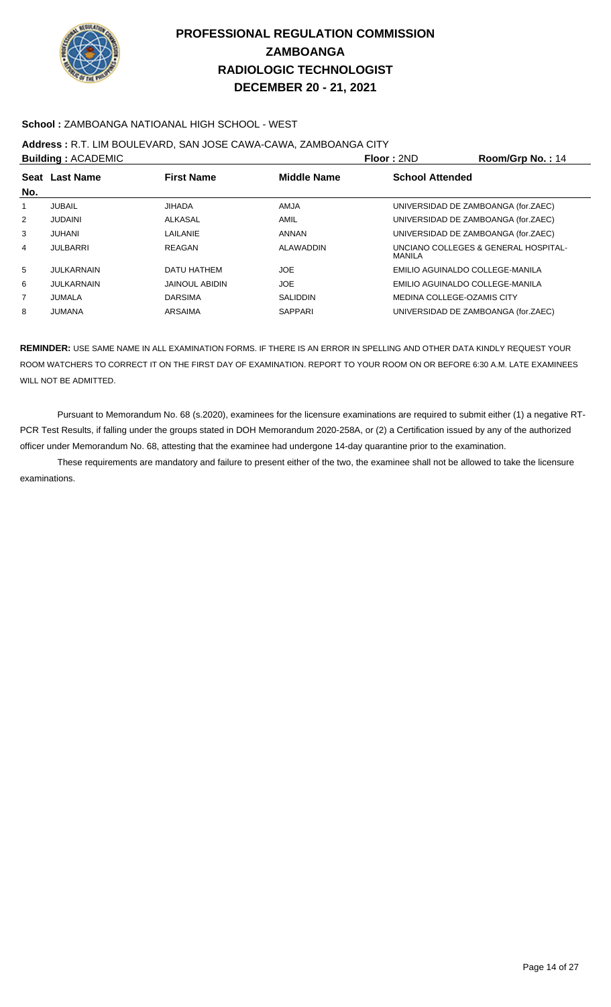

### **School :** ZAMBOANGA NATIOANAL HIGH SCHOOL - WEST

### **Address :** R.T. LIM BOULEVARD, SAN JOSE CAWA-CAWA, ZAMBOANGA CITY

|                | <b>Building: ACADEMIC</b> |                       |                    | <b>Floor: 2ND</b>          | Room/Grp No.: 14                     |
|----------------|---------------------------|-----------------------|--------------------|----------------------------|--------------------------------------|
| No.            | Seat Last Name            | <b>First Name</b>     | <b>Middle Name</b> | <b>School Attended</b>     |                                      |
|                | <b>JUBAIL</b>             | <b>JIHADA</b>         | <b>AMJA</b>        |                            | UNIVERSIDAD DE ZAMBOANGA (for.ZAEC)  |
| $\overline{2}$ | <b>JUDAINI</b>            | ALKASAL               | AMIL               |                            | UNIVERSIDAD DE ZAMBOANGA (for.ZAEC)  |
| 3              | JUHANI                    | LAILANIE              | <b>ANNAN</b>       |                            | UNIVERSIDAD DE ZAMBOANGA (for.ZAEC)  |
| 4              | <b>JULBARRI</b>           | REAGAN                | <b>ALAWADDIN</b>   | MANILA                     | UNCIANO COLLEGES & GENERAL HOSPITAL- |
| 5              | <b>JULKARNAIN</b>         | DATU HATHEM           | <b>JOE</b>         |                            | EMILIO AGUINALDO COLLEGE-MANILA      |
| 6              | JULKARNAIN                | <b>JAINOUL ABIDIN</b> | <b>JOE</b>         |                            | EMILIO AGUINALDO COLLEGE-MANILA      |
| 7              | JUMALA                    | <b>DARSIMA</b>        | <b>SALIDDIN</b>    | MEDINA COLLEGE-OZAMIS CITY |                                      |
| 8              | <b>JUMANA</b>             | ARSAIMA               | <b>SAPPARI</b>     |                            | UNIVERSIDAD DE ZAMBOANGA (for.ZAEC)  |

**REMINDER:** USE SAME NAME IN ALL EXAMINATION FORMS. IF THERE IS AN ERROR IN SPELLING AND OTHER DATA KINDLY REQUEST YOUR ROOM WATCHERS TO CORRECT IT ON THE FIRST DAY OF EXAMINATION. REPORT TO YOUR ROOM ON OR BEFORE 6:30 A.M. LATE EXAMINEES WILL NOT BE ADMITTED.

 Pursuant to Memorandum No. 68 (s.2020), examinees for the licensure examinations are required to submit either (1) a negative RT-PCR Test Results, if falling under the groups stated in DOH Memorandum 2020-258A, or (2) a Certification issued by any of the authorized officer under Memorandum No. 68, attesting that the examinee had undergone 14-day quarantine prior to the examination.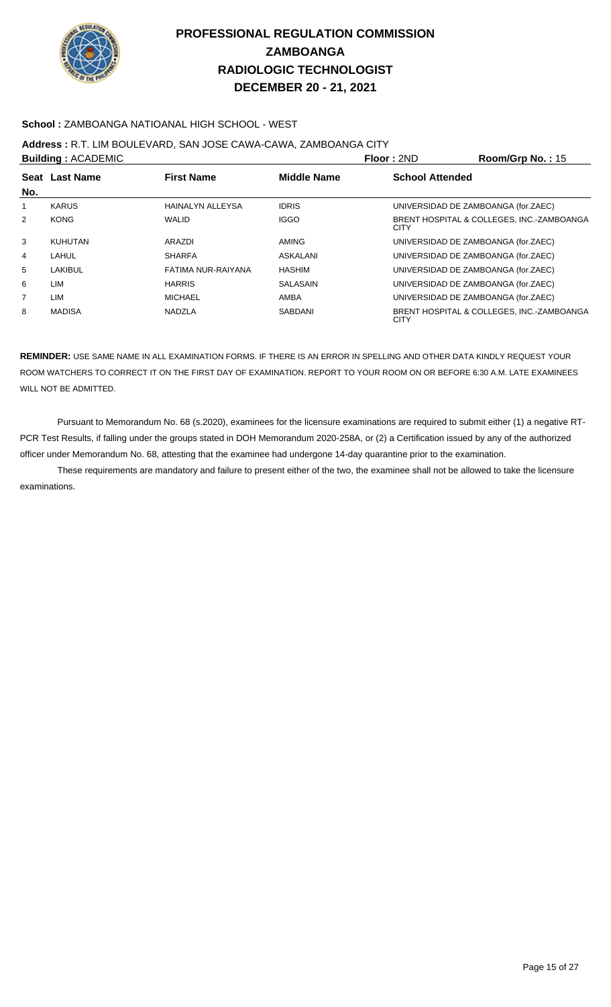

### **School :** ZAMBOANGA NATIOANAL HIGH SCHOOL - WEST

### **Address :** R.T. LIM BOULEVARD, SAN JOSE CAWA-CAWA, ZAMBOANGA CITY

|                | <b>Building: ACADEMIC</b> |                         |                    | Floor: 2ND             | Room/Grp No.: 15                          |
|----------------|---------------------------|-------------------------|--------------------|------------------------|-------------------------------------------|
|                | Seat Last Name            | <b>First Name</b>       | <b>Middle Name</b> | <b>School Attended</b> |                                           |
| No.            |                           |                         |                    |                        |                                           |
| 1              | <b>KARUS</b>              | <b>HAINALYN ALLEYSA</b> | <b>IDRIS</b>       |                        | UNIVERSIDAD DE ZAMBOANGA (for.ZAEC)       |
| $\overline{2}$ | <b>KONG</b>               | <b>WALID</b>            | <b>IGGO</b>        | <b>CITY</b>            | BRENT HOSPITAL & COLLEGES, INC.-ZAMBOANGA |
| 3              | <b>KUHUTAN</b>            | ARAZDI                  | AMING              |                        | UNIVERSIDAD DE ZAMBOANGA (for.ZAEC)       |
| 4              | LAHUL                     | <b>SHARFA</b>           | <b>ASKALANI</b>    |                        | UNIVERSIDAD DE ZAMBOANGA (for.ZAEC)       |
| 5              | LAKIBUL                   | FATIMA NUR-RAIYANA      | <b>HASHIM</b>      |                        | UNIVERSIDAD DE ZAMBOANGA (for.ZAEC)       |
| 6              | LIM                       | <b>HARRIS</b>           | <b>SALASAIN</b>    |                        | UNIVERSIDAD DE ZAMBOANGA (for.ZAEC)       |
| $\overline{7}$ | LIM                       | MICHAEL                 | AMBA               |                        | UNIVERSIDAD DE ZAMBOANGA (for.ZAEC)       |
| 8              | <b>MADISA</b>             | NADZLA                  | <b>SABDANI</b>     | <b>CITY</b>            | BRENT HOSPITAL & COLLEGES, INC.-ZAMBOANGA |

**REMINDER:** USE SAME NAME IN ALL EXAMINATION FORMS. IF THERE IS AN ERROR IN SPELLING AND OTHER DATA KINDLY REQUEST YOUR ROOM WATCHERS TO CORRECT IT ON THE FIRST DAY OF EXAMINATION. REPORT TO YOUR ROOM ON OR BEFORE 6:30 A.M. LATE EXAMINEES WILL NOT BE ADMITTED.

 Pursuant to Memorandum No. 68 (s.2020), examinees for the licensure examinations are required to submit either (1) a negative RT-PCR Test Results, if falling under the groups stated in DOH Memorandum 2020-258A, or (2) a Certification issued by any of the authorized officer under Memorandum No. 68, attesting that the examinee had undergone 14-day quarantine prior to the examination.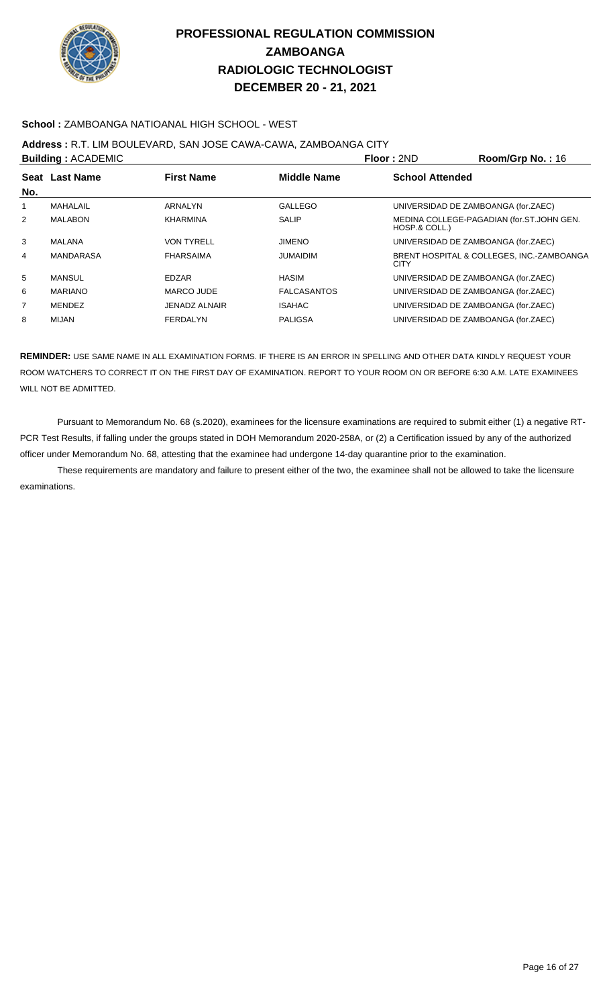

### **School :** ZAMBOANGA NATIOANAL HIGH SCHOOL - WEST

### **Address :** R.T. LIM BOULEVARD, SAN JOSE CAWA-CAWA, ZAMBOANGA CITY

|                | <b>Building: ACADEMIC</b> |                      |                    | Floor: 2ND                          | Room/Grp No.: 16                          |
|----------------|---------------------------|----------------------|--------------------|-------------------------------------|-------------------------------------------|
|                | Seat Last Name            | <b>First Name</b>    | <b>Middle Name</b> | <b>School Attended</b>              |                                           |
| No.            |                           |                      |                    |                                     |                                           |
| 1              | MAHALAIL                  | <b>ARNALYN</b>       | GALLEGO            | UNIVERSIDAD DE ZAMBOANGA (for.ZAEC) |                                           |
| 2              | <b>MALABON</b>            | <b>KHARMINA</b>      | <b>SALIP</b>       | HOSP.& COLL.)                       | MEDINA COLLEGE-PAGADIAN (for.ST.JOHN GEN. |
| 3              | MALANA                    | <b>VON TYRELL</b>    | <b>JIMENO</b>      | UNIVERSIDAD DE ZAMBOANGA (for.ZAEC) |                                           |
| 4              | <b>MANDARASA</b>          | <b>FHARSAIMA</b>     | <b>JUMAIDIM</b>    | CITY                                | BRENT HOSPITAL & COLLEGES, INC.-ZAMBOANGA |
| 5              | <b>MANSUL</b>             | <b>EDZAR</b>         | <b>HASIM</b>       | UNIVERSIDAD DE ZAMBOANGA (for.ZAEC) |                                           |
| 6              | <b>MARIANO</b>            | <b>MARCO JUDE</b>    | <b>FALCASANTOS</b> | UNIVERSIDAD DE ZAMBOANGA (for.ZAEC) |                                           |
| $\overline{7}$ | MENDEZ                    | <b>JENADZ ALNAIR</b> | <b>ISAHAC</b>      | UNIVERSIDAD DE ZAMBOANGA (for.ZAEC) |                                           |
| 8              | MIJAN                     | FERDALYN             | <b>PALIGSA</b>     | UNIVERSIDAD DE ZAMBOANGA (for.ZAEC) |                                           |

**REMINDER:** USE SAME NAME IN ALL EXAMINATION FORMS. IF THERE IS AN ERROR IN SPELLING AND OTHER DATA KINDLY REQUEST YOUR ROOM WATCHERS TO CORRECT IT ON THE FIRST DAY OF EXAMINATION. REPORT TO YOUR ROOM ON OR BEFORE 6:30 A.M. LATE EXAMINEES WILL NOT BE ADMITTED.

 Pursuant to Memorandum No. 68 (s.2020), examinees for the licensure examinations are required to submit either (1) a negative RT-PCR Test Results, if falling under the groups stated in DOH Memorandum 2020-258A, or (2) a Certification issued by any of the authorized officer under Memorandum No. 68, attesting that the examinee had undergone 14-day quarantine prior to the examination.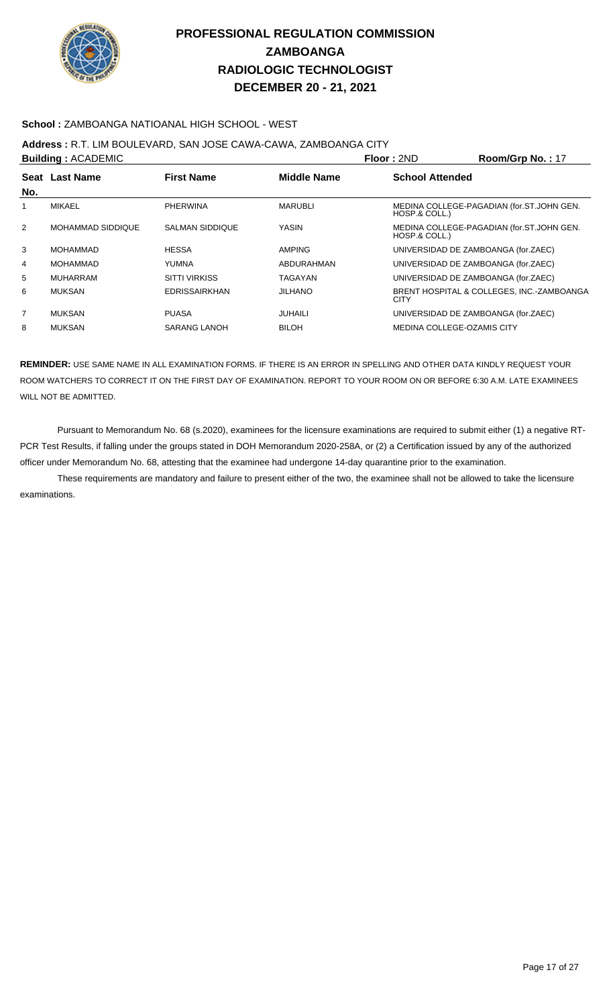

### **School :** ZAMBOANGA NATIOANAL HIGH SCHOOL - WEST

# **Address :** R.T. LIM BOULEVARD, SAN JOSE CAWA-CAWA, ZAMBOANGA CITY

| <b>Building: ACADEMIC</b> |                   |                        |                    | Floor: 2ND                          | Room/Grp No.: 17                          |
|---------------------------|-------------------|------------------------|--------------------|-------------------------------------|-------------------------------------------|
|                           | Seat Last Name    | <b>First Name</b>      | <b>Middle Name</b> | <b>School Attended</b>              |                                           |
| No.                       |                   |                        |                    |                                     |                                           |
|                           | <b>MIKAEL</b>     | <b>PHERWINA</b>        | <b>MARUBLI</b>     | HOSP.& COLL.)                       | MEDINA COLLEGE-PAGADIAN (for.ST.JOHN GEN. |
| 2                         | MOHAMMAD SIDDIQUE | <b>SALMAN SIDDIQUE</b> | YASIN              | HOSP.& COLL.)                       | MEDINA COLLEGE-PAGADIAN (for.ST.JOHN GEN. |
| 3                         | <b>MOHAMMAD</b>   | <b>HESSA</b>           | <b>AMPING</b>      | UNIVERSIDAD DE ZAMBOANGA (for.ZAEC) |                                           |
| 4                         | MOHAMMAD          | YUMNA                  | ABDURAHMAN         | UNIVERSIDAD DE ZAMBOANGA (for.ZAEC) |                                           |
| 5                         | MUHARRAM          | <b>SITTI VIRKISS</b>   | <b>TAGAYAN</b>     | UNIVERSIDAD DE ZAMBOANGA (for.ZAEC) |                                           |
| 6                         | <b>MUKSAN</b>     | <b>EDRISSAIRKHAN</b>   | <b>JILHANO</b>     | <b>CITY</b>                         | BRENT HOSPITAL & COLLEGES, INC.-ZAMBOANGA |
| $\overline{7}$            | <b>MUKSAN</b>     | <b>PUASA</b>           | <b>JUHAILI</b>     | UNIVERSIDAD DE ZAMBOANGA (for.ZAEC) |                                           |
| 8                         | <b>MUKSAN</b>     | <b>SARANG LANOH</b>    | <b>BILOH</b>       | <b>MEDINA COLLEGE-OZAMIS CITY</b>   |                                           |

**REMINDER:** USE SAME NAME IN ALL EXAMINATION FORMS. IF THERE IS AN ERROR IN SPELLING AND OTHER DATA KINDLY REQUEST YOUR ROOM WATCHERS TO CORRECT IT ON THE FIRST DAY OF EXAMINATION. REPORT TO YOUR ROOM ON OR BEFORE 6:30 A.M. LATE EXAMINEES WILL NOT BE ADMITTED.

 Pursuant to Memorandum No. 68 (s.2020), examinees for the licensure examinations are required to submit either (1) a negative RT-PCR Test Results, if falling under the groups stated in DOH Memorandum 2020-258A, or (2) a Certification issued by any of the authorized officer under Memorandum No. 68, attesting that the examinee had undergone 14-day quarantine prior to the examination.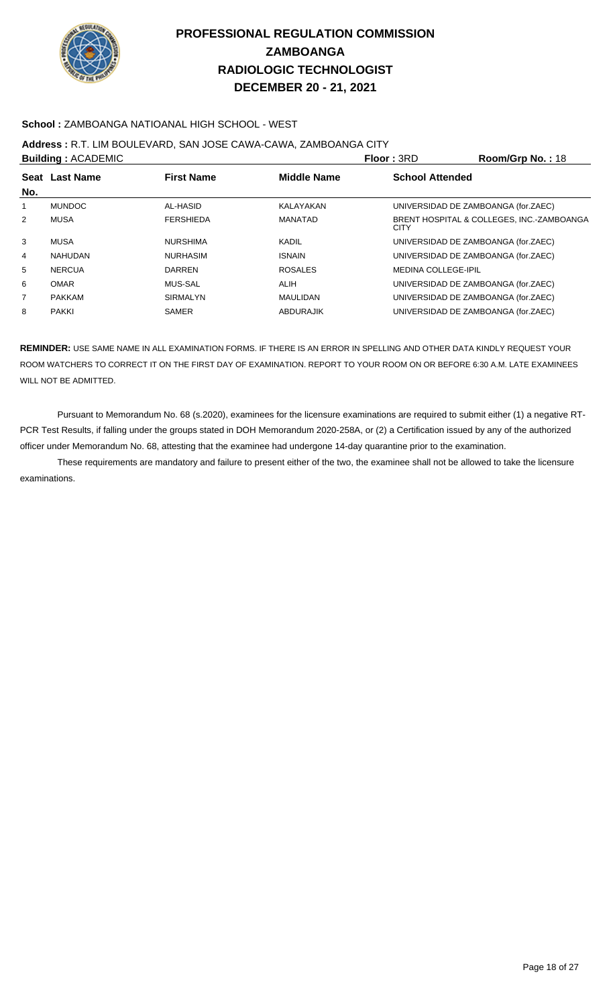

### **School :** ZAMBOANGA NATIOANAL HIGH SCHOOL - WEST

## **Address :** R.T. LIM BOULEVARD, SAN JOSE CAWA-CAWA, ZAMBOANGA CITY

|     | <b>Building: ACADEMIC</b> |                   |                    | <b>Floor: 3RD</b>          | Room/Grp No.: 18                          |
|-----|---------------------------|-------------------|--------------------|----------------------------|-------------------------------------------|
| No. | Seat Last Name            | <b>First Name</b> | <b>Middle Name</b> | <b>School Attended</b>     |                                           |
| 1   | <b>MUNDOC</b>             | AL-HASID          | KALAYAKAN          |                            | UNIVERSIDAD DE ZAMBOANGA (for.ZAEC)       |
| 2   | MUSA                      | <b>FERSHIEDA</b>  | MANATAD            | <b>CITY</b>                | BRENT HOSPITAL & COLLEGES, INC.-ZAMBOANGA |
| 3   | MUSA                      | <b>NURSHIMA</b>   | KADIL              |                            | UNIVERSIDAD DE ZAMBOANGA (for.ZAEC)       |
| 4   | NAHUDAN                   | <b>NURHASIM</b>   | <b>ISNAIN</b>      |                            | UNIVERSIDAD DE ZAMBOANGA (for.ZAEC)       |
| 5   | <b>NERCUA</b>             | <b>DARREN</b>     | <b>ROSALES</b>     | <b>MEDINA COLLEGE-IPIL</b> |                                           |
| 6   | <b>OMAR</b>               | <b>MUS-SAL</b>    | <b>ALIH</b>        |                            | UNIVERSIDAD DE ZAMBOANGA (for.ZAEC)       |
| 7   | <b>PAKKAM</b>             | <b>SIRMALYN</b>   | MAULIDAN           |                            | UNIVERSIDAD DE ZAMBOANGA (for.ZAEC)       |
| 8   | <b>PAKKI</b>              | <b>SAMER</b>      | ABDURAJIK          |                            | UNIVERSIDAD DE ZAMBOANGA (for.ZAEC)       |

**REMINDER:** USE SAME NAME IN ALL EXAMINATION FORMS. IF THERE IS AN ERROR IN SPELLING AND OTHER DATA KINDLY REQUEST YOUR ROOM WATCHERS TO CORRECT IT ON THE FIRST DAY OF EXAMINATION. REPORT TO YOUR ROOM ON OR BEFORE 6:30 A.M. LATE EXAMINEES WILL NOT BE ADMITTED.

 Pursuant to Memorandum No. 68 (s.2020), examinees for the licensure examinations are required to submit either (1) a negative RT-PCR Test Results, if falling under the groups stated in DOH Memorandum 2020-258A, or (2) a Certification issued by any of the authorized officer under Memorandum No. 68, attesting that the examinee had undergone 14-day quarantine prior to the examination.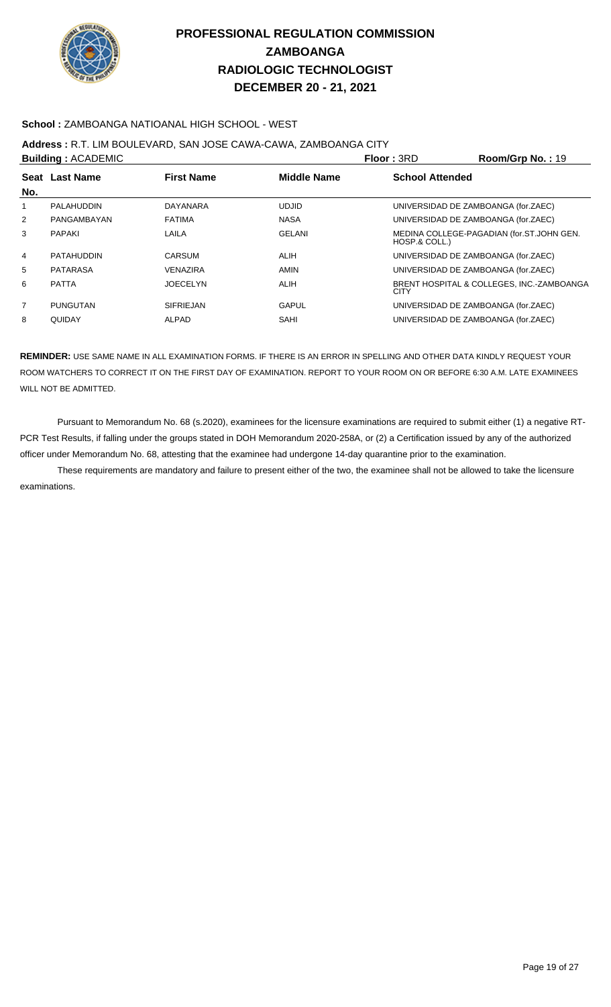

### **School :** ZAMBOANGA NATIOANAL HIGH SCHOOL - WEST

### **Address :** R.T. LIM BOULEVARD, SAN JOSE CAWA-CAWA, ZAMBOANGA CITY

|                | <b>Building: ACADEMIC</b> |                   |                    | Floor: 3RD             | Room/Grp No.: 19                          |
|----------------|---------------------------|-------------------|--------------------|------------------------|-------------------------------------------|
|                | Seat Last Name            | <b>First Name</b> | <b>Middle Name</b> | <b>School Attended</b> |                                           |
| No.            |                           |                   |                    |                        |                                           |
| 1              | PALAHUDDIN                | DAYANARA          | <b>UDJID</b>       |                        | UNIVERSIDAD DE ZAMBOANGA (for.ZAEC)       |
| $\overline{2}$ | PANGAMBAYAN               | <b>FATIMA</b>     | <b>NASA</b>        |                        | UNIVERSIDAD DE ZAMBOANGA (for.ZAEC)       |
| 3              | <b>PAPAKI</b>             | LAILA             | <b>GELANI</b>      | HOSP.& COLL.)          | MEDINA COLLEGE-PAGADIAN (for.ST.JOHN GEN. |
| $\overline{4}$ | <b>PATAHUDDIN</b>         | CARSUM            | <b>ALIH</b>        |                        | UNIVERSIDAD DE ZAMBOANGA (for.ZAEC)       |
| 5              | PATARASA                  | VENAZIRA          | <b>AMIN</b>        |                        | UNIVERSIDAD DE ZAMBOANGA (for.ZAEC)       |
| 6              | <b>PATTA</b>              | <b>JOECELYN</b>   | <b>ALIH</b>        | <b>CITY</b>            | BRENT HOSPITAL & COLLEGES, INC.-ZAMBOANGA |
| $\overline{7}$ | <b>PUNGUTAN</b>           | <b>SIFRIEJAN</b>  | <b>GAPUL</b>       |                        | UNIVERSIDAD DE ZAMBOANGA (for.ZAEC)       |
| 8              | QUIDAY                    | <b>ALPAD</b>      | SAHI               |                        | UNIVERSIDAD DE ZAMBOANGA (for.ZAEC)       |

**REMINDER:** USE SAME NAME IN ALL EXAMINATION FORMS. IF THERE IS AN ERROR IN SPELLING AND OTHER DATA KINDLY REQUEST YOUR ROOM WATCHERS TO CORRECT IT ON THE FIRST DAY OF EXAMINATION. REPORT TO YOUR ROOM ON OR BEFORE 6:30 A.M. LATE EXAMINEES WILL NOT BE ADMITTED.

 Pursuant to Memorandum No. 68 (s.2020), examinees for the licensure examinations are required to submit either (1) a negative RT-PCR Test Results, if falling under the groups stated in DOH Memorandum 2020-258A, or (2) a Certification issued by any of the authorized officer under Memorandum No. 68, attesting that the examinee had undergone 14-day quarantine prior to the examination.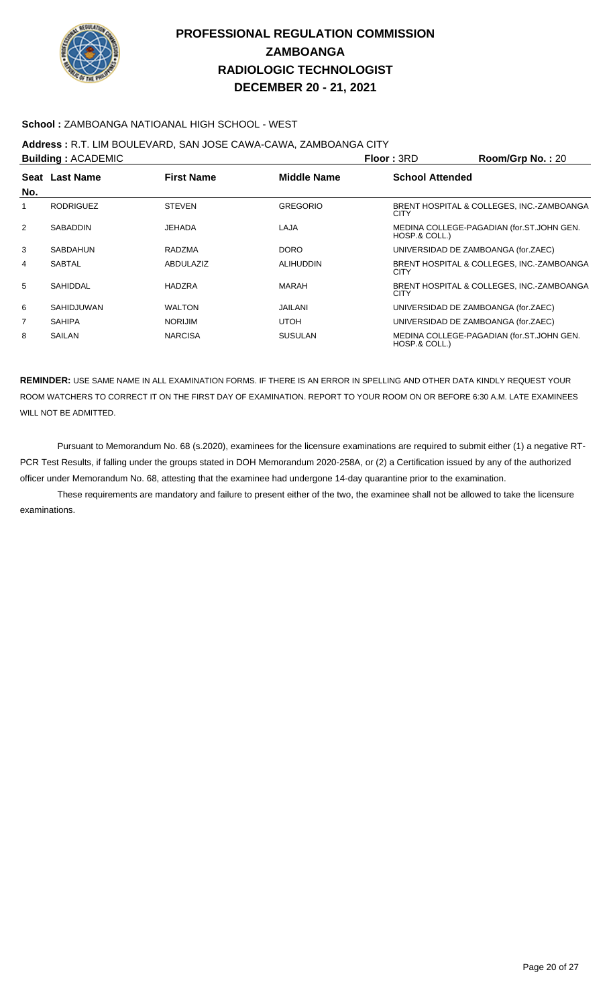

### **School :** ZAMBOANGA NATIOANAL HIGH SCHOOL - WEST

## **Address :** R.T. LIM BOULEVARD, SAN JOSE CAWA-CAWA, ZAMBOANGA CITY

| <b>Building: ACADEMIC</b> |                   |                   |                    | <b>Floor: 3RD</b>                   | Room/Grp No.: 20                          |
|---------------------------|-------------------|-------------------|--------------------|-------------------------------------|-------------------------------------------|
| No.                       | Seat Last Name    | <b>First Name</b> | <b>Middle Name</b> | <b>School Attended</b>              |                                           |
| 1                         | <b>RODRIGUEZ</b>  | <b>STEVEN</b>     | <b>GREGORIO</b>    | CITY                                | BRENT HOSPITAL & COLLEGES, INC.-ZAMBOANGA |
| 2                         | SABADDIN          | JEHADA            | LAJA               | HOSP.& COLL.)                       | MEDINA COLLEGE-PAGADIAN (for.ST.JOHN GEN. |
| 3                         | <b>SABDAHUN</b>   | RADZMA            | <b>DORO</b>        | UNIVERSIDAD DE ZAMBOANGA (for.ZAEC) |                                           |
| 4                         | <b>SABTAL</b>     | <b>ABDULAZIZ</b>  | <b>ALIHUDDIN</b>   | CITY                                | BRENT HOSPITAL & COLLEGES, INC.-ZAMBOANGA |
| 5                         | SAHIDDAL          | <b>HADZRA</b>     | <b>MARAH</b>       | <b>CITY</b>                         | BRENT HOSPITAL & COLLEGES, INC.-ZAMBOANGA |
| 6                         | <b>SAHIDJUWAN</b> | <b>WALTON</b>     | <b>JAILANI</b>     | UNIVERSIDAD DE ZAMBOANGA (for.ZAEC) |                                           |
| $\overline{7}$            | <b>SAHIPA</b>     | <b>NORIJIM</b>    | <b>UTOH</b>        | UNIVERSIDAD DE ZAMBOANGA (for.ZAEC) |                                           |
| 8                         | SAILAN            | <b>NARCISA</b>    | <b>SUSULAN</b>     | HOSP.& COLL.)                       | MEDINA COLLEGE-PAGADIAN (for.ST.JOHN GEN. |
|                           |                   |                   |                    |                                     |                                           |

**REMINDER:** USE SAME NAME IN ALL EXAMINATION FORMS. IF THERE IS AN ERROR IN SPELLING AND OTHER DATA KINDLY REQUEST YOUR ROOM WATCHERS TO CORRECT IT ON THE FIRST DAY OF EXAMINATION. REPORT TO YOUR ROOM ON OR BEFORE 6:30 A.M. LATE EXAMINEES WILL NOT BE ADMITTED.

 Pursuant to Memorandum No. 68 (s.2020), examinees for the licensure examinations are required to submit either (1) a negative RT-PCR Test Results, if falling under the groups stated in DOH Memorandum 2020-258A, or (2) a Certification issued by any of the authorized officer under Memorandum No. 68, attesting that the examinee had undergone 14-day quarantine prior to the examination.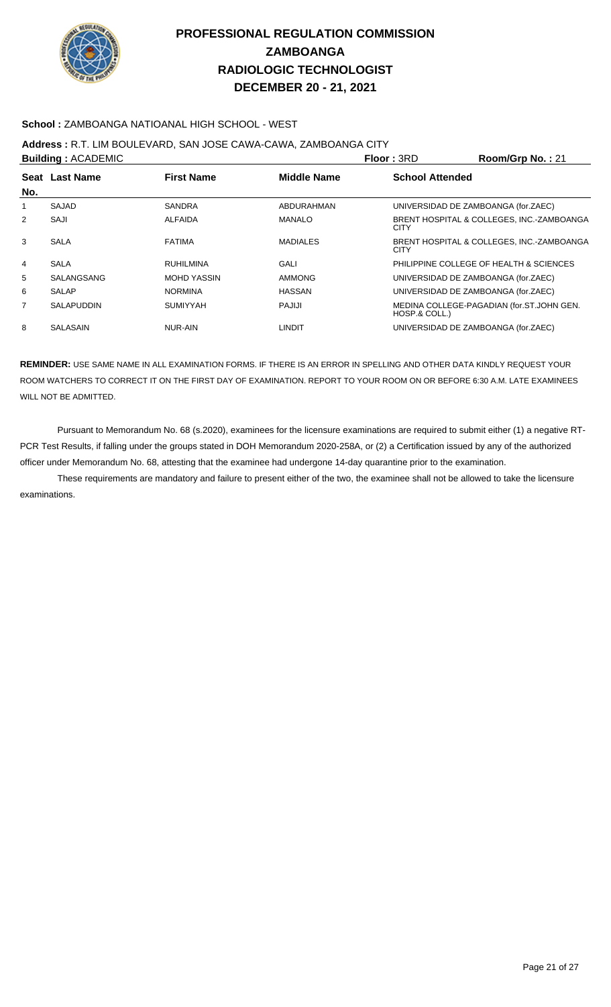

### **School :** ZAMBOANGA NATIOANAL HIGH SCHOOL - WEST

## **Address :** R.T. LIM BOULEVARD, SAN JOSE CAWA-CAWA, ZAMBOANGA CITY

|                | <b>Building: ACADEMIC</b> |                    |                    | Floor: 3RD                          | Room/Grp No.: 21                          |
|----------------|---------------------------|--------------------|--------------------|-------------------------------------|-------------------------------------------|
|                | Seat Last Name            | <b>First Name</b>  | <b>Middle Name</b> | <b>School Attended</b>              |                                           |
| No.            |                           |                    |                    |                                     |                                           |
| 1              | <b>SAJAD</b>              | <b>SANDRA</b>      | ABDURAHMAN         | UNIVERSIDAD DE ZAMBOANGA (for.ZAEC) |                                           |
| $\overline{2}$ | SAJI                      | <b>ALFAIDA</b>     | <b>MANALO</b>      | <b>CITY</b>                         | BRENT HOSPITAL & COLLEGES, INC.-ZAMBOANGA |
| 3              | SALA                      | <b>FATIMA</b>      | <b>MADIALES</b>    | <b>CITY</b>                         | BRENT HOSPITAL & COLLEGES, INC.-ZAMBOANGA |
| $\overline{4}$ | <b>SALA</b>               | <b>RUHILMINA</b>   | GALI               |                                     | PHILIPPINE COLLEGE OF HEALTH & SCIENCES   |
| 5              | SALANGSANG                | <b>MOHD YASSIN</b> | <b>AMMONG</b>      | UNIVERSIDAD DE ZAMBOANGA (for.ZAEC) |                                           |
| 6              | <b>SALAP</b>              | <b>NORMINA</b>     | <b>HASSAN</b>      | UNIVERSIDAD DE ZAMBOANGA (for.ZAEC) |                                           |
| $\overline{7}$ | <b>SALAPUDDIN</b>         | <b>SUMIYYAH</b>    | PAJIJI             | HOSP.& COLL.)                       | MEDINA COLLEGE-PAGADIAN (for.ST.JOHN GEN. |
| 8              | SALASAIN                  | NUR-AIN            | <b>LINDIT</b>      | UNIVERSIDAD DE ZAMBOANGA (for.ZAEC) |                                           |

**REMINDER:** USE SAME NAME IN ALL EXAMINATION FORMS. IF THERE IS AN ERROR IN SPELLING AND OTHER DATA KINDLY REQUEST YOUR ROOM WATCHERS TO CORRECT IT ON THE FIRST DAY OF EXAMINATION. REPORT TO YOUR ROOM ON OR BEFORE 6:30 A.M. LATE EXAMINEES WILL NOT BE ADMITTED.

 Pursuant to Memorandum No. 68 (s.2020), examinees for the licensure examinations are required to submit either (1) a negative RT-PCR Test Results, if falling under the groups stated in DOH Memorandum 2020-258A, or (2) a Certification issued by any of the authorized officer under Memorandum No. 68, attesting that the examinee had undergone 14-day quarantine prior to the examination.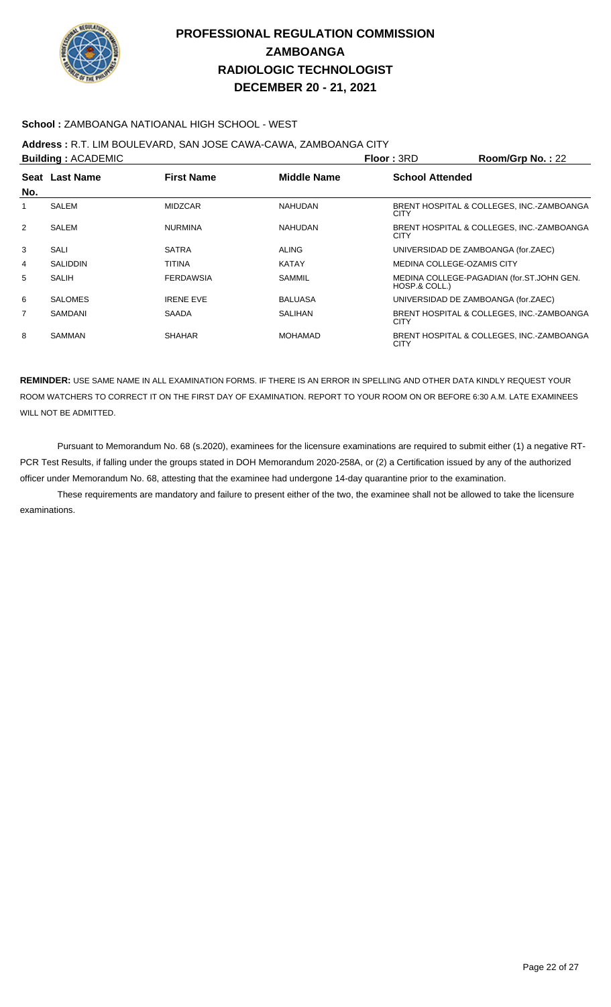

### **School :** ZAMBOANGA NATIOANAL HIGH SCHOOL - WEST

# **Address :** R.T. LIM BOULEVARD, SAN JOSE CAWA-CAWA, ZAMBOANGA CITY

| <b>Building: ACADEMIC</b> |                                                           |                  |                | <b>Floor: 3RD</b>                                          | Room/Grp No.: 22 |
|---------------------------|-----------------------------------------------------------|------------------|----------------|------------------------------------------------------------|------------------|
|                           | Seat Last Name<br><b>First Name</b><br><b>Middle Name</b> |                  |                | <b>School Attended</b>                                     |                  |
| No.                       |                                                           |                  |                |                                                            |                  |
| 1                         | SALEM                                                     | <b>MIDZCAR</b>   | <b>NAHUDAN</b> | BRENT HOSPITAL & COLLEGES, INC.-ZAMBOANGA<br><b>CITY</b>   |                  |
| 2                         | SALEM                                                     | <b>NURMINA</b>   | <b>NAHUDAN</b> | BRENT HOSPITAL & COLLEGES, INC.-ZAMBOANGA<br><b>CITY</b>   |                  |
| 3                         | SALI                                                      | <b>SATRA</b>     | <b>ALING</b>   | UNIVERSIDAD DE ZAMBOANGA (for.ZAEC)                        |                  |
| 4                         | <b>SALIDDIN</b>                                           | TITINA           | <b>KATAY</b>   | MEDINA COLLEGE-OZAMIS CITY                                 |                  |
| 5                         | SALIH                                                     | <b>FERDAWSIA</b> | SAMMIL         | MEDINA COLLEGE-PAGADIAN (for.ST.JOHN GEN.<br>HOSP.& COLL.) |                  |
| 6                         | <b>SALOMES</b>                                            | <b>IRENE EVE</b> | <b>BALUASA</b> | UNIVERSIDAD DE ZAMBOANGA (for.ZAEC)                        |                  |
| $\overline{7}$            | SAMDANI                                                   | <b>SAADA</b>     | <b>SALIHAN</b> | BRENT HOSPITAL & COLLEGES. INC.-ZAMBOANGA<br><b>CITY</b>   |                  |
| 8                         | <b>SAMMAN</b>                                             | <b>SHAHAR</b>    | <b>MOHAMAD</b> | BRENT HOSPITAL & COLLEGES, INC.-ZAMBOANGA<br><b>CITY</b>   |                  |

**REMINDER:** USE SAME NAME IN ALL EXAMINATION FORMS. IF THERE IS AN ERROR IN SPELLING AND OTHER DATA KINDLY REQUEST YOUR ROOM WATCHERS TO CORRECT IT ON THE FIRST DAY OF EXAMINATION. REPORT TO YOUR ROOM ON OR BEFORE 6:30 A.M. LATE EXAMINEES WILL NOT BE ADMITTED.

 Pursuant to Memorandum No. 68 (s.2020), examinees for the licensure examinations are required to submit either (1) a negative RT-PCR Test Results, if falling under the groups stated in DOH Memorandum 2020-258A, or (2) a Certification issued by any of the authorized officer under Memorandum No. 68, attesting that the examinee had undergone 14-day quarantine prior to the examination.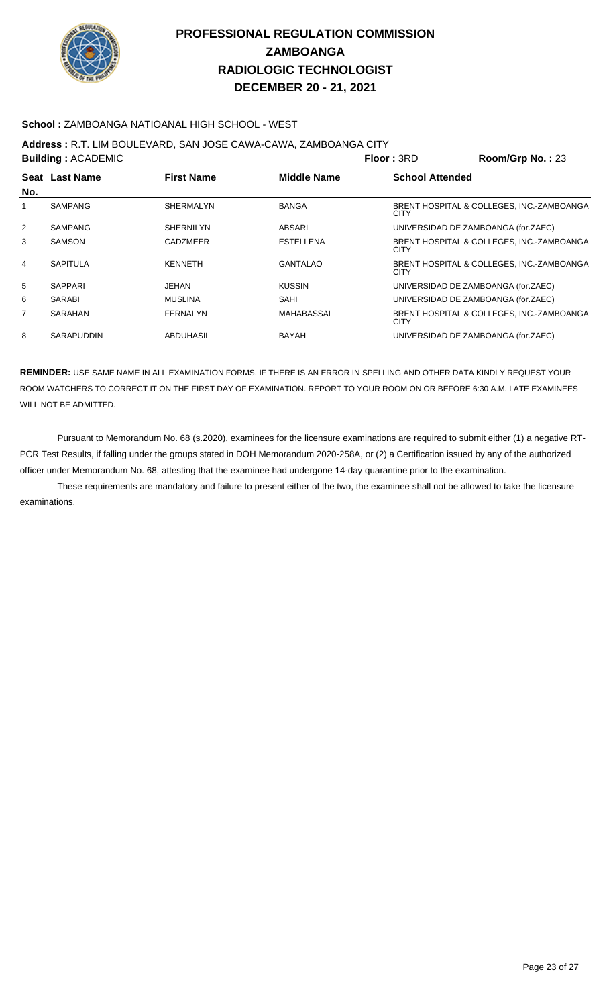

### **School :** ZAMBOANGA NATIOANAL HIGH SCHOOL - WEST

### **Address :** R.T. LIM BOULEVARD, SAN JOSE CAWA-CAWA, ZAMBOANGA CITY

|                | <b>Building: ACADEMIC</b> |                   |                    | Floor: 3RD                          | Room/Grp No.: 23                          |
|----------------|---------------------------|-------------------|--------------------|-------------------------------------|-------------------------------------------|
|                | Seat Last Name            | <b>First Name</b> | <b>Middle Name</b> | <b>School Attended</b>              |                                           |
| No.            |                           |                   |                    |                                     |                                           |
| 1              | SAMPANG                   | <b>SHERMALYN</b>  | <b>BANGA</b>       | <b>CITY</b>                         | BRENT HOSPITAL & COLLEGES, INC.-ZAMBOANGA |
| $\overline{2}$ | SAMPANG                   | <b>SHERNILYN</b>  | ABSARI             | UNIVERSIDAD DE ZAMBOANGA (for.ZAEC) |                                           |
| 3              | <b>SAMSON</b>             | <b>CADZMEER</b>   | <b>ESTELLENA</b>   | <b>CITY</b>                         | BRENT HOSPITAL & COLLEGES, INC.-ZAMBOANGA |
| 4              | <b>SAPITULA</b>           | <b>KENNETH</b>    | <b>GANTALAO</b>    | <b>CITY</b>                         | BRENT HOSPITAL & COLLEGES, INC.-ZAMBOANGA |
| 5              | <b>SAPPARI</b>            | <b>JEHAN</b>      | <b>KUSSIN</b>      | UNIVERSIDAD DE ZAMBOANGA (for.ZAEC) |                                           |
| 6              | SARABI                    | <b>MUSLINA</b>    | SAHI               | UNIVERSIDAD DE ZAMBOANGA (for.ZAEC) |                                           |
| $\overline{7}$ | SARAHAN                   | FERNALYN          | MAHABASSAL         | <b>CITY</b>                         | BRENT HOSPITAL & COLLEGES, INC.-ZAMBOANGA |
| 8              | <b>SARAPUDDIN</b>         | <b>ABDUHASIL</b>  | <b>BAYAH</b>       | UNIVERSIDAD DE ZAMBOANGA (for.ZAEC) |                                           |

**REMINDER:** USE SAME NAME IN ALL EXAMINATION FORMS. IF THERE IS AN ERROR IN SPELLING AND OTHER DATA KINDLY REQUEST YOUR ROOM WATCHERS TO CORRECT IT ON THE FIRST DAY OF EXAMINATION. REPORT TO YOUR ROOM ON OR BEFORE 6:30 A.M. LATE EXAMINEES WILL NOT BE ADMITTED.

 Pursuant to Memorandum No. 68 (s.2020), examinees for the licensure examinations are required to submit either (1) a negative RT-PCR Test Results, if falling under the groups stated in DOH Memorandum 2020-258A, or (2) a Certification issued by any of the authorized officer under Memorandum No. 68, attesting that the examinee had undergone 14-day quarantine prior to the examination.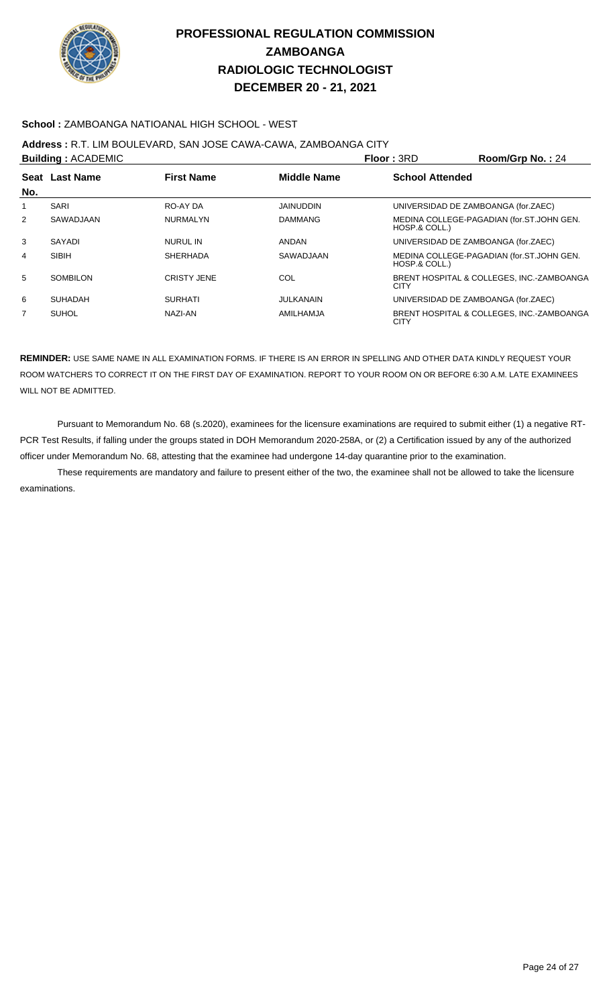

### **School :** ZAMBOANGA NATIOANAL HIGH SCHOOL - WEST

### **Address :** R.T. LIM BOULEVARD, SAN JOSE CAWA-CAWA, ZAMBOANGA CITY

|     | <b>Building: ACADEMIC</b> |                    |                    | Floor: 3RD             | Room/Grp No.: 24                          |
|-----|---------------------------|--------------------|--------------------|------------------------|-------------------------------------------|
| No. | Seat Last Name            | <b>First Name</b>  | <b>Middle Name</b> | <b>School Attended</b> |                                           |
| 1   | <b>SARI</b>               | RO-AY DA           | <b>JAINUDDIN</b>   |                        | UNIVERSIDAD DE ZAMBOANGA (for.ZAEC)       |
| 2   | SAWADJAAN                 | <b>NURMALYN</b>    | <b>DAMMANG</b>     | HOSP.& COLL.)          | MEDINA COLLEGE-PAGADIAN (for.ST.JOHN GEN. |
| 3   | SAYADI                    | <b>NURUL IN</b>    | <b>ANDAN</b>       |                        | UNIVERSIDAD DE ZAMBOANGA (for.ZAEC)       |
| 4   | <b>SIBIH</b>              | <b>SHERHADA</b>    | SAWADJAAN          | HOSP.& COLL.)          | MEDINA COLLEGE-PAGADIAN (for.ST.JOHN GEN. |
| 5   | SOMBILON                  | <b>CRISTY JENE</b> | COL                | <b>CITY</b>            | BRENT HOSPITAL & COLLEGES. INC.-ZAMBOANGA |
| 6   | <b>SUHADAH</b>            | <b>SURHATI</b>     | JULKANAIN          |                        | UNIVERSIDAD DE ZAMBOANGA (for.ZAEC)       |
| 7   | <b>SUHOL</b>              | NAZI-AN            | AMILHAMJA          | <b>CITY</b>            | BRENT HOSPITAL & COLLEGES, INC.-ZAMBOANGA |

**REMINDER:** USE SAME NAME IN ALL EXAMINATION FORMS. IF THERE IS AN ERROR IN SPELLING AND OTHER DATA KINDLY REQUEST YOUR ROOM WATCHERS TO CORRECT IT ON THE FIRST DAY OF EXAMINATION. REPORT TO YOUR ROOM ON OR BEFORE 6:30 A.M. LATE EXAMINEES WILL NOT BE ADMITTED.

 Pursuant to Memorandum No. 68 (s.2020), examinees for the licensure examinations are required to submit either (1) a negative RT-PCR Test Results, if falling under the groups stated in DOH Memorandum 2020-258A, or (2) a Certification issued by any of the authorized officer under Memorandum No. 68, attesting that the examinee had undergone 14-day quarantine prior to the examination.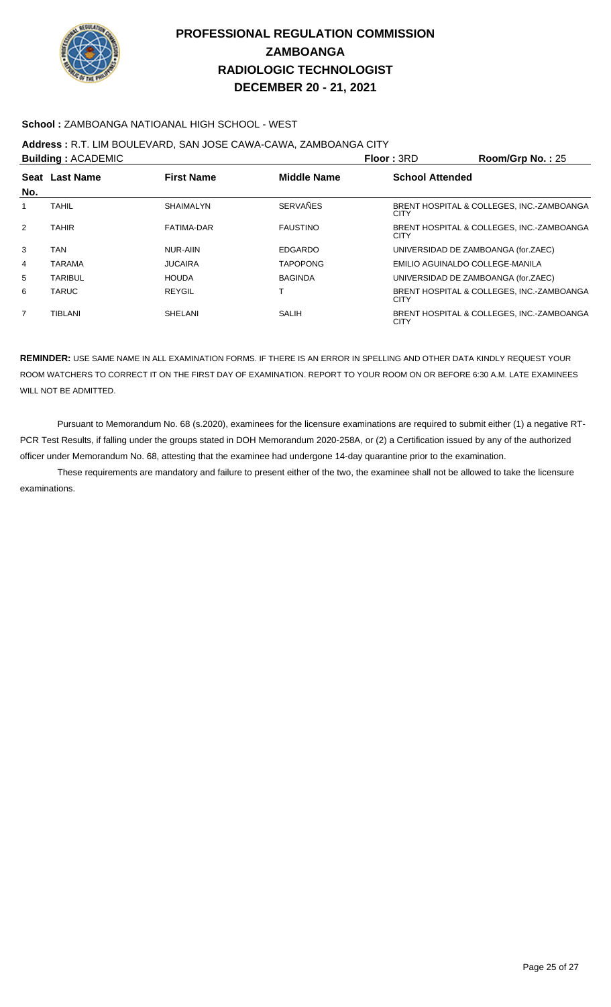

### **School :** ZAMBOANGA NATIOANAL HIGH SCHOOL - WEST

## **Address :** R.T. LIM BOULEVARD, SAN JOSE CAWA-CAWA, ZAMBOANGA CITY

|     | <b>Building: ACADEMIC</b>           |                  |                    | Floor: 3RD             | Room/Grp No.: 25                          |
|-----|-------------------------------------|------------------|--------------------|------------------------|-------------------------------------------|
| No. | Seat Last Name<br><b>First Name</b> |                  | <b>Middle Name</b> | <b>School Attended</b> |                                           |
|     | <b>TAHIL</b>                        | <b>SHAIMALYN</b> | <b>SERVAÑES</b>    | <b>CITY</b>            | BRENT HOSPITAL & COLLEGES. INC.-ZAMBOANGA |
| 2   | <b>TAHIR</b>                        | FATIMA-DAR       | <b>FAUSTINO</b>    | <b>CITY</b>            | BRENT HOSPITAL & COLLEGES, INC.-ZAMBOANGA |
| 3   | <b>TAN</b>                          | NUR-AIIN         | <b>EDGARDO</b>     |                        | UNIVERSIDAD DE ZAMBOANGA (for.ZAEC)       |
| 4   | <b>TARAMA</b>                       | <b>JUCAIRA</b>   | <b>TAPOPONG</b>    |                        | EMILIO AGUINALDO COLLEGE-MANILA           |
| 5   | <b>TARIBUL</b>                      | <b>HOUDA</b>     | <b>BAGINDA</b>     |                        | UNIVERSIDAD DE ZAMBOANGA (for.ZAEC)       |
| 6   | <b>TARUC</b>                        | REYGIL           |                    | <b>CITY</b>            | BRENT HOSPITAL & COLLEGES, INC.-ZAMBOANGA |
| 7   | <b>TIBLANI</b>                      | <b>SHELANI</b>   | SALIH              | <b>CITY</b>            | BRENT HOSPITAL & COLLEGES, INC.-ZAMBOANGA |

**REMINDER:** USE SAME NAME IN ALL EXAMINATION FORMS. IF THERE IS AN ERROR IN SPELLING AND OTHER DATA KINDLY REQUEST YOUR ROOM WATCHERS TO CORRECT IT ON THE FIRST DAY OF EXAMINATION. REPORT TO YOUR ROOM ON OR BEFORE 6:30 A.M. LATE EXAMINEES WILL NOT BE ADMITTED.

 Pursuant to Memorandum No. 68 (s.2020), examinees for the licensure examinations are required to submit either (1) a negative RT-PCR Test Results, if falling under the groups stated in DOH Memorandum 2020-258A, or (2) a Certification issued by any of the authorized officer under Memorandum No. 68, attesting that the examinee had undergone 14-day quarantine prior to the examination.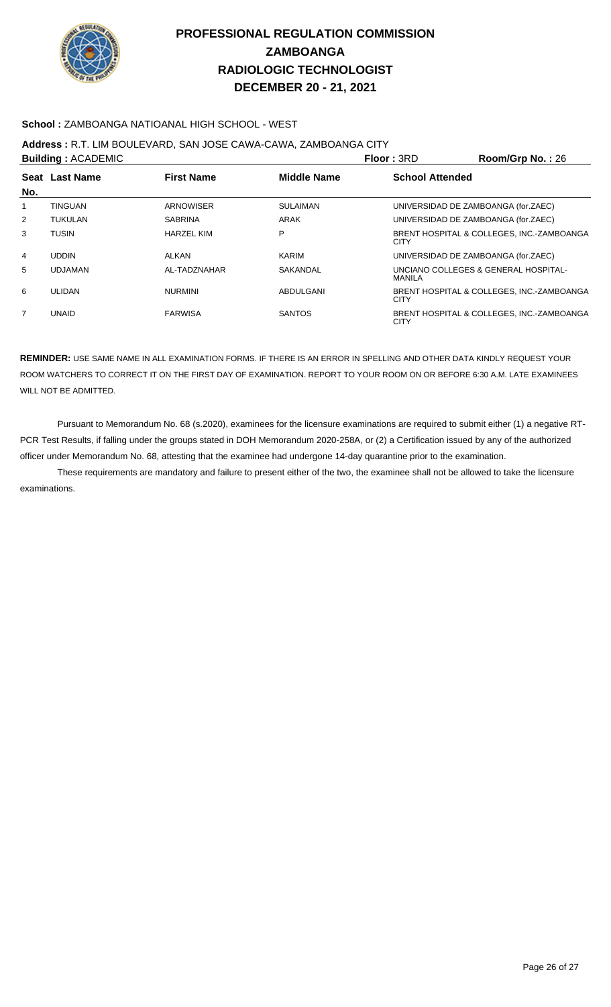

### **School :** ZAMBOANGA NATIOANAL HIGH SCHOOL - WEST

### **Address :** R.T. LIM BOULEVARD, SAN JOSE CAWA-CAWA, ZAMBOANGA CITY

|     | <b>Building: ACADEMIC</b> |                   | Floor: 3RD         | Room/Grp No.: 26       |                                           |
|-----|---------------------------|-------------------|--------------------|------------------------|-------------------------------------------|
| No. | Seat Last Name            | <b>First Name</b> | <b>Middle Name</b> | <b>School Attended</b> |                                           |
| 1   | <b>TINGUAN</b>            | <b>ARNOWISER</b>  | <b>SULAIMAN</b>    |                        | UNIVERSIDAD DE ZAMBOANGA (for.ZAEC)       |
|     |                           |                   |                    |                        |                                           |
| 2   | <b>TUKULAN</b>            | <b>SABRINA</b>    | ARAK               |                        | UNIVERSIDAD DE ZAMBOANGA (for.ZAEC)       |
| 3   | TUSIN                     | <b>HARZEL KIM</b> | P                  | CITY                   | BRENT HOSPITAL & COLLEGES, INC.-ZAMBOANGA |
| 4   | <b>UDDIN</b>              | ALKAN             | KARIM              |                        | UNIVERSIDAD DE ZAMBOANGA (for.ZAEC)       |
| 5   | <b>UDJAMAN</b>            | AL-TADZNAHAR      | SAKANDAL           | MANILA                 | UNCIANO COLLEGES & GENERAL HOSPITAL-      |
| 6   | <b>ULIDAN</b>             | <b>NURMINI</b>    | ABDULGANI          | <b>CITY</b>            | BRENT HOSPITAL & COLLEGES, INC.-ZAMBOANGA |
| 7   | <b>UNAID</b>              | <b>FARWISA</b>    | <b>SANTOS</b>      | <b>CITY</b>            | BRENT HOSPITAL & COLLEGES, INC.-ZAMBOANGA |

**REMINDER:** USE SAME NAME IN ALL EXAMINATION FORMS. IF THERE IS AN ERROR IN SPELLING AND OTHER DATA KINDLY REQUEST YOUR ROOM WATCHERS TO CORRECT IT ON THE FIRST DAY OF EXAMINATION. REPORT TO YOUR ROOM ON OR BEFORE 6:30 A.M. LATE EXAMINEES WILL NOT BE ADMITTED.

 Pursuant to Memorandum No. 68 (s.2020), examinees for the licensure examinations are required to submit either (1) a negative RT-PCR Test Results, if falling under the groups stated in DOH Memorandum 2020-258A, or (2) a Certification issued by any of the authorized officer under Memorandum No. 68, attesting that the examinee had undergone 14-day quarantine prior to the examination.